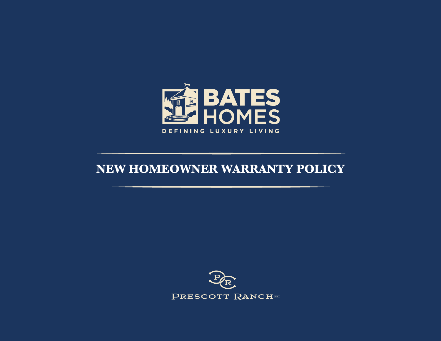

## **NEW HOMEOWNER WARRANTY POLICY**

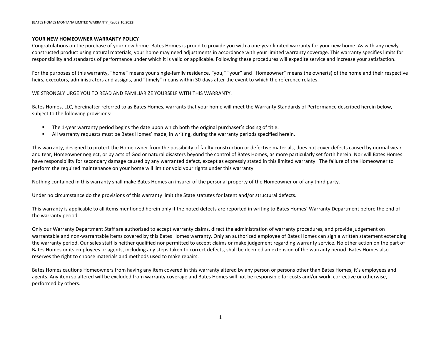#### <span id="page-1-0"></span>**YOUR NEW HOMEOWNER WARRANTY POLICY**

Congratulations on the purchase of your new home. Bates Homes is proud to provide you with a one-year limited warranty for your new home. As with any newly constructed product using natural materials, your home may need adjustments in accordance with your limited warranty coverage. This warranty specifies limits for responsibility and standards of performance under which it is valid or applicable. Following these procedures will expedite service and increase your satisfaction.

For the purposes of this warranty, "home" means your single-family residence, "you," "your" and "Homeowner" means the owner(s) of the home and their respective heirs, executors, administrators and assigns, and "timely" means within 30-days after the event to which the reference relates.

WE STRONGLY URGE YOU TO READ AND FAMILIARIZE YOURSELF WITH THIS WARRANTY.

Bates Homes, LLC, hereinafter referred to as Bates Homes, warrants that your home will meet the Warranty Standards of Performance described herein below, subject to the following provisions:

- The 1-year warranty period begins the date upon which both the original purchaser's closing of title.
- All warranty requests must be Bates Homes' made, in writing, during the warranty periods specified herein.

This warranty, designed to protect the Homeowner from the possibility of faulty construction or defective materials, does not cover defects caused by normal wear and tear, Homeowner neglect, or by acts of God or natural disasters beyond the control of Bates Homes, as more particularly set forth herein. Nor will Bates Homes have responsibility for secondary damage caused by any warranted defect, except as expressly stated in this limited warranty. The failure of the Homeowner to perform the required maintenance on your home will limit or void your rights under this warranty.

Nothing contained in this warranty shall make Bates Homes an insurer of the personal property of the Homeowner or of any third party.

Under no circumstance do the provisions of this warranty limit the State statutes for latent and/or structural defects.

This warranty is applicable to all items mentioned herein only if the noted defects are reported in writing to Bates Homes' Warranty Department before the end of the warranty period.

Only our Warranty Department Staff are authorized to accept warranty claims, direct the administration of warranty procedures, and provide judgement on warrantable and non-warrantable items covered by this Bates Homes warranty. Only an authorized employee of Bates Homes can sign a written statement extending the warranty period. Our sales staff is neither qualified nor permitted to accept claims or make judgement regarding warranty service. No other action on the part of Bates Homes or its employees or agents, including any steps taken to correct defects, shall be deemed an extension of the warranty period. Bates Homes also reserves the right to choose materials and methods used to make repairs.

Bates Homes cautions Homeowners from having any item covered in this warranty altered by any person or persons other than Bates Homes, it's employees and agents. Any item so altered will be excluded from warranty coverage and Bates Homes will not be responsible for costs and/or work, corrective or otherwise, performed by others.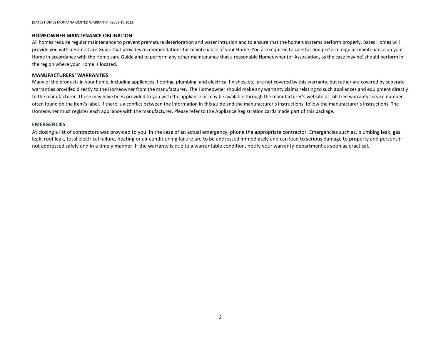#### <span id="page-2-0"></span>**HOMEOWNER MAINTENANCE OBLIGATION**

All homes require regular maintenance to prevent premature deterioration and water intrusion and to ensure that the home's systems perform properly. Bates Homes will provide you with a Home Care Guide that provides recommendations for maintenance of your Home. You are required to care for and perform regular maintenance on your Home in accordance with the Home care Guide and to perform any other maintenance that a reasonable Homeowner (or Association, as the case may be) should perform in the region where your Home is located.

#### <span id="page-2-1"></span>**MANUFACTURERS' WARRANTIES**

Many of the products in your home, including appliances, flooring, plumbing, and electrical finishes, etc. are not covered by this warranty, but rather are covered by separate warranties provided directly to the Homeowner from the manufacturer. The Homeowner should make any warranty claims relating to such appliances and equipment directly to the manufacturer. These may have been provided to you with the appliance or may be available through the manufacturer's website or toll-free warranty service number often found on the item's label. If there is a conflict between the information in this guide and the manufacturer's instructions, follow the manufacturer's instructions. The Homeowner must register each appliance with the manufacturer. Please refer to the Appliance Registration cards made part of this package.

#### **EMERGENCIES**

At closing a list of contractors was provided to you. In the case of an actual emergency, phone the appropriate contractor. Emergencies such as, plumbing leak, gas leak, roof leak, total electrical failure, heating or air conditioning failure are to be addressed immediately and can lead to serious damage to property and persons if not addressed safely and in a timely manner. If the warranty is due to a warrantable condition, notify your warranty-department as soon as practical.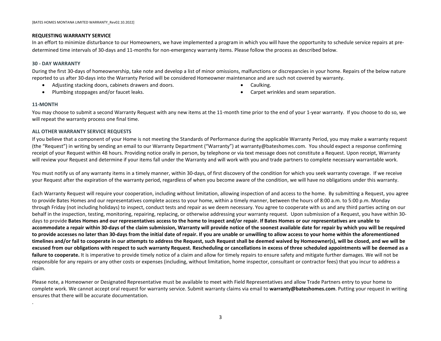#### <span id="page-3-0"></span>**REQUESTING WARRANTY SERVICE**

In an effort to minimize disturbance to our Homeowners, we have implemented a program in which you will have the opportunity to schedule service repairs at predetermined time intervals of 30-days and 11-months for non-emergency warranty items. Please follow the process as described below.

#### **30 - DAY WARRANTY**

During the first 30-days of homeownership, take note and develop a list of minor omissions, malfunctions or discrepancies in your home. Repairs of the below nature reported to us after 30-days into the Warranty Period will be considered Homeowner maintenance and are such not covered by warranty.

- Adjusting stacking doors, cabinets drawers and doors.
- Plumbing stoppages and/or faucet leaks.
- Caulking.
- Carpet wrinkles and seam separation.

#### **11-MONTH**

.

You may choose to submit a second Warranty Request with any new items at the 11-month time prior to the end of your 1-year warranty. If you choose to do so, we will repeat the warranty process one final time.

#### **ALL OTHER WARRANTY SERVICE REQUESTS**

If you believe that a component of your Home is not meeting the Standards of Performance during the applicable Warranty Period, you may make a warranty request (the "Request") in writing by sending an email to our Warranty Department ("Warranty") at warranty@bateshomes.com. You should expect a response confirming receipt of your Request within 48 hours. Providing notice orally in person, by telephone or via text message does not constitute a Request. Upon receipt, Warranty will review your Request and determine if your items fall under the Warranty and will work with you and trade partners to complete necessary warrantable work.

You must notify us of any warranty items in a timely manner, within 30-days, of first discovery of the condition for which you seek warranty coverage. If we receive your Request after the expiration of the warranty period, regardless of when you become aware of the condition, we will have no obligations under this warranty.

Each Warranty Request will require your cooperation, including without limitation, allowing inspection of and access to the home. By submitting a Request, you agree to provide Bates Homes and our representatives complete access to your home, within a timely manner, between the hours of 8:00 a.m. to 5:00 p.m. Monday through Friday (not including holidays) to inspect, conduct tests and repair as we deem necessary. You agree to cooperate with us and any third parties acting on our behalf in the inspection, testing, monitoring, repairing, replacing, or otherwise addressing your warranty request. Upon submission of a Request, you have within 30 days to provide **Bates Homes and our representatives access to the home to inspect and/or repair. If Bates Homes or our representatives are unable to accommodate a repair within 30-days of the claim submission, Warranty will provide notice of the soonest available date for repair by which you will be required to provide accesses no later than 30-days from the initial date of repair. If you are unable or unwilling to allow access to your home within the aforementioned timelines and/or fail to cooperate in our attempts to address the Request, such Request shall be deemed waived by Homeowner(s), will be closed, and we will be excused from our obligations with respect to such warranty Request. Rescheduling or cancellations in excess of three scheduled appointments will be deemed as a**  failure to cooperate. It is imperative to provide timely notice of a claim and allow for timely repairs to ensure safety and mitigate further damages. We will not be responsible for any repairs or any other costs or expenses (including, without limitation, home inspector, consultant or contractor fees) that you incur to address a claim.

Please note, a Homeowner or Designated Representative must be available to meet with Field Representatives and allow Trade Partners entry to your home to complete work. We cannot accept oral request for warranty service. Submit warranty claims via email to **warranty@bateshomes.com**. Putting your request in writing ensures that there will be accurate documentation.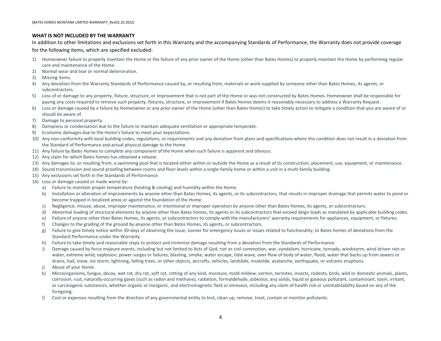#### <span id="page-4-0"></span>**WHAT IS NOT INCLUDED BY THE WARRANTY**

In addition to other limitations and exclusions set forth in this Warranty and the accompanying Standards of Performance, the Warranty does not provide coverage

for the following items, which are specified excluded:

- 1) Homeowner failure to properly maintain the Home or the failure of any prior owner of the Home (other than Bates Homes) to properly maintain the Home by performing regular care and maintenance of the Home.
- 2) Normal wear and tear or normal deterioration.
- 3) Missing items.
- 4) Any deviation from the Warranty Standards of Performance caused by, or resulting from, materials or work supplied by someone other than Bates Homes, its agents, or subcontractors.
- 5) Loss of or damage to any property, fixture, structure, or improvement that is not part of the Home or was not constructed by Bates Homes. Homeowner shall be responsible for paying any costs required to remove such property, fixtures, structure, or improvement if Bates Homes deems it reasonably necessary to address a Warranty Request.
- 6) Loss or damage caused by a failure by Homeowner or any prior owner of the Home (other than Bates Homes) to take timely action to mitigate a condition that you are aware of or should be aware of.
- 7) Damage to personal property.
- 8) Dampness or condensation due to the failure to maintain adequate ventilation or appropriate temperate.
- 9) Economic damages due to the Home's failure to meet your expectations.
- 10) Any non-conformity with local building codes, regulations, or requirements and any deviation from plans and specifications where the condition does not result in a deviation from the Standard of Performance and actual physical damage to the Home.
- 11) Any failure by Bates Homes to complete any component of the Home when such failure is apparent and obvious.
- 12) Any claim for which Bates homes has obtained a release.
- 13) Any damages to, or resulting from, a swimming pool that is located either within or outside the Home as a result of its construction, placement, use, equipment, or maintenance.
- 14) Sound transmission and sound proofing between rooms and floor levels within a single-family home or within a unit in a multi-family building.
- 15) Any exclusions set forth in the Standards of Performance.
- 16) Loss or damage caused or made worse by:
	- a) Failure to maintain proper temperature (heating & cooling) and humidity within the Home.
	- b) Installation or alteration of improvements by anyone other than Bates Homes, its agents, or its subcontractors, that results in improper drainage that permits water to pond or become trapped in localized areas or against the foundation of the Home.
	- c) Negligence, misuse, abuse, improper maintenance, or intentional or improper operation by anyone other than Bates Homes, its agents, or subcontractors.
	- d) Abnormal loading of structural elements by anyone other than Bates homes, its agents or its subcontractors that exceed deign loads as mandated by applicable building codes.
	- e) Failure of anyone other than Bates Homes, its agents, or subcontractors to comply with the manufacturers' warranty requirements for appliances, equipment, or fixtures.
	- f) Changes to the grading of the ground by anyone other than Bates Homes, its agents, or subcontractors.
	- g) Failure to give timely notice within 30-days of observing the issue, sooner for emergency issues or issues related to functionality, to Bates homes of deviations from the Standard Performance under the Warranty.
	- h) Failure to take timely and reasonable steps to protect and minimize damage resulting from a deviation from the Standards of Performance.
	- i) Damage caused by force majeure events, including but not limited to Acts of God, riot or civil commotion, war, vandalism, hurricane, tornado, windstorm, wind driven rain or water, extreme wind, explosion, power surges or failures, blasting, smoke, water escape, tidal wave, over-flow of body of water, flood, water that backs up from sewers or drains, hail, snow, ice storm, lightning, falling trees, or other objects, aircrafts, vehicles, landslide, mudslide, avalanche, earthquake, or volcanic eruptions.
	- j) Abuse of your Home.
	- k) Microorganisms, fungus, decay, wet rot, dry rot, soft rot, rotting of any kind, moisture, mold mildew, vermin, termites, insects, rodents, birds, wild or domestic animals, plants, corrosion, rust, naturally-occurring gases (such as radon and methane), radiation, formaldehyde, asbestos, any solids, liquid or gaseous pollutant, contaminant, toxin, irritant, or carcinogenic substances, whether organic or inorganic, and electromagnetic field or emission, including any claim of health risk or uninhabitability based on any of the foregoing.
	- l) Cost or expenses resulting from the direction of any governmental entity to test, clean up, remove, treat, contain or monitor pollutants.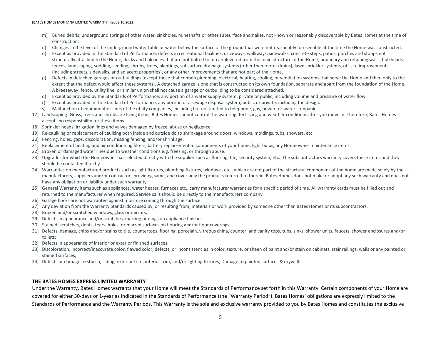- m) Buried debris, underground springs of other water, sinkholes, mineshafts or other subsurface anomalies, not known or reasonably discoverable by Bates Homes at the time of construction.
- n) Changes in the level of the underground water table or water below the surface of the ground that were not reasonably foreseeable at the time the Home was constructed.
- o) Except as provided in the Standard of Performance, defects in recreational facilities, driveways, walkways, sidewalks, concrete steps, patios, porches and stoops not structurally attached to the Home, decks and balconies that are not bolted to or cantilevered from the main structure of the Home, boundary and retaining walls, bulkheads, fences, landscaping, sodding, seeding, shrubs, trees, plantings, subsurface drainage systems (other than footer drains), lawn sprinkler systems, off-site improvements (including streets, sidewalks, and adjacent properties), or any other improvements that are not part of the Home.
- p) Defects in detached garages or outbuildings (except those that contain plumbing, electrical, heating, cooling, or ventilation systems that serve the Home and then only to the extent that the defect would affect these systems). A detached garage is one that is constructed on its own foundation, separate and apart from the foundation of the Home. A breezeway, fence, utility line, or similar union shall not cause a garage or outbuilding to be considered attached.
- q) Except as provided by the Standards of Performance, any portion of a water supply system, private or public, including volume and pressure of water flow.
- r) Except as provided in the Standard of Performance, any portion of a sewage disposal system, public or private, including the design.
- s) Malfunction of equipment or lines of the utility companies, including but not limited to telephone, gas, power, or water companies.
- 17) Landscaping- Grass, trees and shrubs are living items. Bates Homes cannot control the watering, fertilizing and weather conditions after you move in. Therefore, Bates Homes accepts no responsibility for these items.
- 18) Sprinkler heads, irrigation lines and valves damaged by freeze, abuse or negligence.
- 19) Re-caulking or replacement of caulking both inside and outside do to shrinkage around doors, windows, moldings, tubs, showers, etc.
- 20) Fencing, holes, gaps, discoloration, missing fencing, and/or shrinkage.
- 21) Replacement of heating and air conditioning filters, battery replacement in components of your home, light bulbs, any Homeowner maintenance items.
- 22) Broken or damaged water lines due to weather conditions e.g. freezing, or through abuse.
- 23) Upgrades for which the Homeowner has selected directly with the supplier such as flooring, tile, security system, etc. The subcontractors warranty covers these items and they should be contacted directly.
- 24) Warranties on manufactured products such as light fixtures, plumbing fixtures, windows, etc., which are not part of the structural component of the home are made solely by the manufacturers, suppliers and/or contractors providing same, and cover only the products referred to therein. Bates Homes does not make or adopt any such warranty and does not have any obligation or liability under such warranty.
- 25) General Warranty items such as appliances, water heater, furnaces etc., carry manufacturer warranties for a specific period of time. All warranty cards must be filled out and returned to the manufacturer when required. Service calls should be directly to the manufacturers company.
- 26) Garage floors are not warranted against moisture coming through the surface.
- 27) Any deviation from the Warranty Standards caused by, or resulting from, materials or work provided by someone other than Bates Homes or its subcontractors.
- 28) Broken and/or scratched windows, glass or mirrors;
- 29) Defects in appearance and/or scratches, marring or dings on appliance finishes;
- 30) Stained, scratches, dents, tears, holes, or marred surfaces on flooring and/or floor coverings;
- 31) Defects, damage, chips and/or stains to tile, countertops, flooring, porcelain, vitreous china, counter, and vanity tops, tubs, sinks, shower units, faucets, shower enclosures and/or toilets;
- 32) Defects in appearance of Interior or exterior finished surfaces;
- 33) Discoloration, incorrect/inaccurate color, flawed color, defects, or inconsistencies in color, texture, or sheen of paint and/or stain on cabinets, stair railings, walls or any painted or stained surfaces;
- <span id="page-5-0"></span>34) Defects or damage to stucco, siding, exterior trim, interior trim, and/or lighting fixtures; Damage to painted surfaces & drywall.

#### **THE BATES HOMES EXPRESS LIMITED WARRANTY**

Under the Warranty, Bates Homes warrants that your Home will meet the Standards of Performance set forth in this Warranty. Certain components of your Home are covered for either 30-days or 1-year as indicated in the Standards of Performance (the "Warranty Period"). Bates Homes' obligations are expressly limited to the Standards of Performance and the Warranty Periods. This Warranty is the sole and exclusive warranty provided to you by Bates Homes and constitutes the exclusive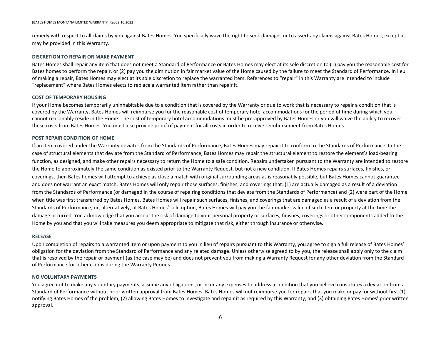remedy with respect to all claims by you against Bates Homes. You specifically wave the right to seek damages or to assert any claims against Bates Homes, except as may be provided in this Warranty.

#### **DISCRETION TO REPAIR OR MAKE PAYMENT**

Bates Homes shall repair any item that does not meet a Standard of Performance or Bates Homes may elect at its sole discretion to (1) pay you the reasonable cost for Bates homes to perform the repair, or (2) pay you the diminution in fair market value of the Home caused by the failure to meet the Standard of Performance. In lieu of making a repair, Bates Homes may elect at its sole discretion to replace the warranted item. References to "repair" in this Warranty are intended to include "replacement" where Bates Homes elects to replace a warranted item rather than repair it.

#### **COST OF TEMPORARY HOUSING**

If your Home becomes temporarily uninhabitable due to a condition that is covered by the Warranty or due to work that is necessary to repair a condition that is covered by the Warranty, Bates Homes will reimburse you for the reasonable cost of temporary hotel accommodations for the period of time during which you cannot reasonably reside in the Home. The cost of temporary hotel accommodations must be pre-approved by Bates Homes or you will waive the ability to recover these costs from Bates Homes. You must also provide proof of payment for all costs in order to receive reimbursement from Bates Homes.

#### **POST REPAIR CONDITION OF HOME**

If an item covered under the Warranty deviates from the Standards of Performance, Bates Homes may repair it to conform to the Standards of Performance. In the case of structural elements that deviate from the Standard of Performance, Bates Homes may repair the structural element to restore the element's load-bearing function, as designed, and make other repairs necessary to return the Home to a safe condition. Repairs undertaken pursuant to the Warranty are intended to restore the Home to approximately the same condition as existed prior to the Warranty Request, but not a new condition. If Bates Homes repairs surfaces, finishes, or coverings, then Bates homes will attempt to achieve as close a match with original surrounding areas as is reasonably possible, but Bates Homes cannot guarantee and does not warrant an exact match. Bates Homes will only repair those surfaces, finishes, and coverings that: (1) are actually damaged as a result of a deviation from the Standards of Performance (or damaged in the course of repairing conditions that deviate from the Standards of Performance) and (2) were part of the Home when title was first transferred by Bates Homes. Bates Homes will repair such surfaces, finishes, and coverings that are damaged as a result of a deviation from the Standards of Performance, or, alternatively, at Bates Homes' sole option, Bates Homes will pay you the fair market value of such item or property at the time the damage occurred. You acknowledge that you accept the risk of damage to your personal property or surfaces, finishes, coverings or other components added to the Home by you and that you will take measures you deem appropriate to mitigate that risk, either through insurance or otherwise.

#### **RELEASE**

Upon completion of repairs to a warranted item or upon payment to you in lieu of repairs pursuant to this Warranty, you agree to sign a full release of Bates Homes' obligation for the deviation from the Standard of Performance and any related damage. Unless otherwise agreed to by you, the release shall apply only to the claim that is resolved by the repair or payment (as the case may be) and does not prevent you from making a Warranty Request for any other deviation from the Standard of Performance for other claims during the Warranty Periods.

#### **NO VOLUNTARY PAYMENTS**

You agree not to make any voluntary payments, assume any obligations, or incur any expenses to address a condition that you believe constitutes a deviation from a Standard of Performance without prior written approval from Bates Homes. Bates Homes will not reimburse you for repairs that you make or pay for without first (1) notifying Bates Homes of the problem, (2) allowing Bates Homes to investigate and repair it as required by this Warranty, and (3) obtaining Bates Homes' prior written approval.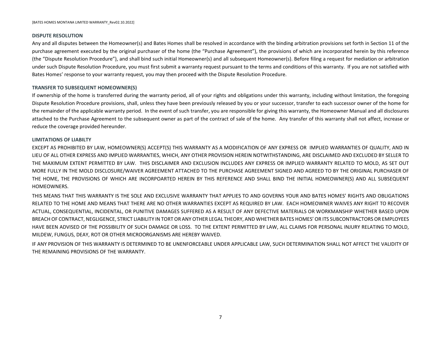#### **DISPUTE RESOLUTION**

Any and all disputes between the Homeowner(s) and Bates Homes shall be resolved in accordance with the binding arbitration provisions set forth in Section 11 of the purchase agreement executed by the original purchaser of the home (the "Purchase Agreement"), the provisions of which are incorporated herein by this reference (the "Dispute Resolution Procedure"), and shall bind such initial Homeowner(s) and all subsequent Homeowner(s). Before filing a request for mediation or arbitration under such Dispute Resolution Procedure, you must first submit a warranty request pursuant to the terms and conditions of this warranty. If you are not satisfied with Bates Homes' response to your warranty request, you may then proceed with the Dispute Resolution Procedure.

#### **TRANSFER TO SUBSEQUENT HOMEOWNER(S)**

If ownership of the home is transferred during the warranty period, all of your rights and obligations under this warranty, including without limitation, the foregoing Dispute Resolution Procedure provisions, shall, unless they have been previously released by you or your successor, transfer to each successor owner of the home for the remainder of the applicable warranty period. In the event of such transfer, you are responsible for giving this warranty, the Homeowner Manual and all disclosures attached to the Purchase Agreement to the subsequent owner as part of the contract of sale of the home. Any transfer of this warranty shall not affect, increase or reduce the coverage provided hereunder.

#### **LIMITATIONS OF LIABILTY**

EXCEPT AS PROHIBITED BY LAW, HOMEOWNER(S) ACCEPT(S) THIS WARRANTY AS A MODIFICATION OF ANY EXPRESS OR IMPLIED WARRANTIES OF QUALITY, AND IN LIEU OF ALL OTHER EXPRESS AND IMPLIED WARRANTIES, WHICH, ANY OTHER PROVISION HEREIN NOTWITHSTANDING, ARE DISCLAIMED AND EXCLUDED BY SELLER TO THE MAXIMUM EXTENT PERMITTED BY LAW. THIS DISCLAIMER AND EXCLUSION INCLUDES ANY EXPRESS OR IMPLIED WARRANTY RELATED TO MOLD, AS SET OUT MORE FULLY IN THE MOLD DISCLOSURE/WAIVER AGREEMENT ATTACHED TO THE PURCHASE AGREEMENT SIGNED AND AGREED TO BY THE ORIGINAL PURCHASER OF THE HOME, THE PROVISIONS OF WHICH ARE INCORPOARTED HEREIN BY THIS REFERENCE AND SHALL BIND THE INITIAL HOMEOWNER(S) AND ALL SUBSEQUENT HOMEOWNERS.

THIS MEANS THAT THIS WARRANTY IS THE SOLE AND EXCLUSIVE WARRANTY THAT APPLIES TO AND GOVERNS YOUR AND BATES HOMES' RIGHTS AND OBLIGATIONS RELATED TO THE HOME AND MEANS THAT THERE ARE NO OTHER WARRANTIES EXCEPT AS REQUIRED BY LAW. EACH HOMEOWNER WAIVES ANY RIGHT TO RECOVER ACTUAL, CONSEQUENTIAL, INCIDENTAL, OR PUNITIVE DAMAGES SUFFERED AS A RESULT OF ANY DEFECTIVE MATERIALS OR WORKMANSHIP WHETHER BASED UPON BREACH OF CONTRACT, NEGLIGENCE, STRICT LIABILITY IN TORT OR ANY OTHER LEGAL THEORY, AND WHETHER BATES HOMES' OR ITS SUBCONTRACTORS OR EMPLOYEES HAVE BEEN ADVISED OF THE POSSIBILITY OF SUCH DAMAGE OR LOSS. TO THE EXTENT PERMITTED BY LAW, ALL CLAIMS FOR PERSONAL INJURY RELATING TO MOLD, MILDEW, FUNGUS, DEAY, ROT OR OTHER MICROORGANISMS ARE HEREBY WAIVED.

IF ANY PROVISION OF THIS WARRANTY IS DETERMINED TO BE UNENFORCEABLE UNDER APPLICABLE LAW, SUCH DETERMINATION SHALL NOT AFFECT THE VALIDITY OF THE REMAINING PROVISIONS OF THE WARRANTY.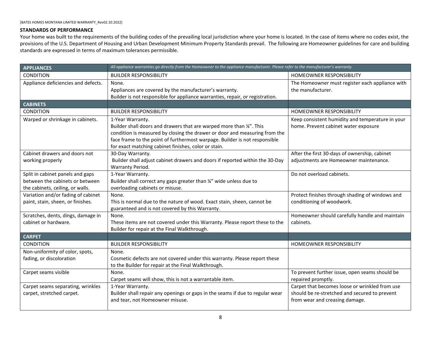### <span id="page-8-0"></span>**STANDARDS OF PERFORMANCE**

Your home was built to the requirements of the building codes of the prevailing local jurisdiction where your home is located. In the case of items where no codes exist, the provisions of the U.S. Department of Housing and Urban Development Minimum Property Standards prevail. The following are Homeowner guidelines for care and building standards are expressed in terms of maximum tolerances permissible.

<span id="page-8-3"></span><span id="page-8-2"></span><span id="page-8-1"></span>

| <b>APPLIANCES</b>                                                       | All appliance warranties go directly from the Homeowner to the appliance manufacturer. Please refer to the manufacturer's warranty.                                                                                                                                                                          |                                                                                                                                   |
|-------------------------------------------------------------------------|--------------------------------------------------------------------------------------------------------------------------------------------------------------------------------------------------------------------------------------------------------------------------------------------------------------|-----------------------------------------------------------------------------------------------------------------------------------|
| <b>CONDITION</b>                                                        | <b>BUILDER RESPONSIBILITY</b>                                                                                                                                                                                                                                                                                | HOMEOWNER RESPONSIBILITY                                                                                                          |
| Appliance deficiencies and defects.                                     | None.<br>Appliances are covered by the manufacturer's warranty.<br>Builder is not responsible for appliance warranties, repair, or registration.                                                                                                                                                             | The Homeowner must register each appliance with<br>the manufacturer.                                                              |
| <b>CABINETS</b>                                                         |                                                                                                                                                                                                                                                                                                              |                                                                                                                                   |
| <b>CONDITION</b>                                                        | <b>BUILDER RESPONSIBILITY</b>                                                                                                                                                                                                                                                                                | <b>HOMEOWNER RESPONSIBILITY</b>                                                                                                   |
| Warped or shrinkage in cabinets.                                        | 1-Year Warranty.<br>Builder shall doors and drawers that are warped more than 1/4". This<br>condition is measured by closing the drawer or door and measuring from the<br>face frame to the point of furthermost warpage. Builder is not responsible<br>for exact matching cabinet finishes, color or stain. | Keep consistent humidity and temperature in your<br>home. Prevent cabinet water exposure                                          |
| Cabinet drawers and doors not                                           | 30-Day Warranty.                                                                                                                                                                                                                                                                                             | After the first 30-days of ownership, cabinet                                                                                     |
| working properly                                                        | Builder shall adjust cabinet drawers and doors if reported within the 30-Day<br>Warranty Period.                                                                                                                                                                                                             | adjustments are Homeowner maintenance.                                                                                            |
| Split in cabinet panels and gaps                                        | 1-Year Warranty.                                                                                                                                                                                                                                                                                             | Do not overload cabinets.                                                                                                         |
| between the cabinets or between                                         | Builder shall correct any gaps greater than 1/4" wide unless due to                                                                                                                                                                                                                                          |                                                                                                                                   |
| the cabinets, ceiling, or walls.                                        | overloading cabinets or misuse.                                                                                                                                                                                                                                                                              |                                                                                                                                   |
| Variation and/or fading of cabinet<br>paint, stain, sheen, or finishes. | None.<br>This is normal due to the nature of wood. Exact stain, sheen, cannot be<br>guaranteed and is not covered by this Warranty.                                                                                                                                                                          | Protect finishes through shading of windows and<br>conditioning of woodwork.                                                      |
| Scratches, dents, dings, damage in                                      | None.                                                                                                                                                                                                                                                                                                        | Homeowner should carefully handle and maintain                                                                                    |
| cabinet or hardware.                                                    | These items are not covered under this Warranty. Please report these to the<br>Builder for repair at the Final Walkthrough.                                                                                                                                                                                  | cabinets.                                                                                                                         |
| <b>CARPET</b>                                                           |                                                                                                                                                                                                                                                                                                              |                                                                                                                                   |
| <b>CONDITION</b>                                                        | <b>BUILDER RESPONSIBILITY</b>                                                                                                                                                                                                                                                                                | <b>HOMEOWNER RESPONSIBILITY</b>                                                                                                   |
| Non-uniformity of color, spots,<br>fading, or discoloration             | None.<br>Cosmetic defects are not covered under this warranty. Please report these<br>to the Builder for repair at the Final Walkthrough.                                                                                                                                                                    |                                                                                                                                   |
| Carpet seams visible                                                    | None.<br>Carpet seams will show, this is not a warrantable item.                                                                                                                                                                                                                                             | To prevent further issue, open seams should be<br>repaired promptly.                                                              |
| Carpet seams separating, wrinkles<br>carpet, stretched carpet.          | 1-Year Warranty.<br>Builder shall repair any openings or gaps in the seams if due to regular wear<br>and tear, not Homeowner misuse.                                                                                                                                                                         | Carpet that becomes loose or wrinkled from use<br>should be re-stretched and secured to prevent<br>from wear and creasing damage. |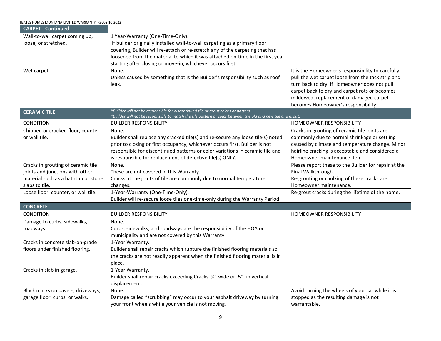<span id="page-9-1"></span><span id="page-9-0"></span>

| [BATES HOMES MONTANA LIMITED WARRANTY Rev02.10.2022] |                                                                                                             |                                                      |
|------------------------------------------------------|-------------------------------------------------------------------------------------------------------------|------------------------------------------------------|
| <b>CARPET - Continued</b>                            |                                                                                                             |                                                      |
| Wall-to-wall carpet coming up,                       | 1 Year-Warranty (One-Time-Only).                                                                            |                                                      |
| loose, or stretched.                                 | If builder originally installed wall-to-wall carpeting as a primary floor                                   |                                                      |
|                                                      | covering, Builder will re-attach or re-stretch any of the carpeting that has                                |                                                      |
|                                                      | loosened from the material to which it was attached on-time in the first year                               |                                                      |
|                                                      | starting after closing or move-in, whichever occurs first.                                                  |                                                      |
| Wet carpet.                                          | None.                                                                                                       | It is the Homeowner's responsibility to carefully    |
|                                                      | Unless caused by something that is the Builder's responsibility such as roof                                | pull the wet carpet loose from the tack strip and    |
|                                                      | leak.                                                                                                       | turn back to dry. If Homeowner does not pull         |
|                                                      |                                                                                                             | carpet back to dry and carpet rots or becomes        |
|                                                      |                                                                                                             | mildewed, replacement of damaged carpet              |
|                                                      |                                                                                                             | becomes Homeowner's responsibility.                  |
| <b>CERAMIC TILE</b>                                  | *Builder will not be responsible for discontinued tile or grout colors or patters.                          |                                                      |
|                                                      | *Builder will not be responsible to match the tile pattern or color between the old and new tile and grout. |                                                      |
| CONDITION                                            | <b>BUILDER RESPONSIBILITY</b>                                                                               | HOMEOWNER RESPONSIBILITY                             |
| Chipped or cracked floor, counter                    | None.                                                                                                       | Cracks in grouting of ceramic tile joints are        |
| or wall tile.                                        | Builder shall replace any cracked tile(s) and re-secure any loose tile(s) noted                             | commonly due to normal shrinkage or settling         |
|                                                      | prior to closing or first occupancy, whichever occurs first. Builder is not                                 | caused by climate and temperature change. Minor      |
|                                                      | responsible for discontinued patterns or color variations in ceramic tile and                               | hairline cracking is acceptable and considered a     |
|                                                      | is responsible for replacement of defective tile(s) ONLY.                                                   | Homeowner maintenance item                           |
| Cracks in grouting of ceramic tile                   | None.                                                                                                       | Please report these to the Builder for repair at the |
| joints and junctions with other                      | These are not covered in this Warranty.                                                                     | Final Walkthrough.                                   |
| material such as a bathtub or stone                  | Cracks at the joints of tile are commonly due to normal temperature                                         | Re-grouting or caulking of these cracks are          |
| slabs to tile.                                       | changes.                                                                                                    | Homeowner maintenance.                               |
| Loose floor, counter, or wall tile.                  | 1-Year-Warranty (One-Time-Only).                                                                            | Re-grout cracks during the lifetime of the home.     |
|                                                      | Builder will re-secure loose tiles one-time-only during the Warranty Period.                                |                                                      |
| <b>CONCRETE</b>                                      |                                                                                                             |                                                      |
| <b>CONDITION</b>                                     | <b>BUILDER RESPONSIBILITY</b>                                                                               | HOMEOWNER RESPONSIBILITY                             |
| Damage to curbs, sidewalks,                          | None.                                                                                                       |                                                      |
| roadways.                                            | Curbs, sidewalks, and roadways are the responsibility of the HOA or                                         |                                                      |
|                                                      | municipality and are not covered by this Warranty.                                                          |                                                      |
| Cracks in concrete slab-on-grade                     | 1-Year Warranty.                                                                                            |                                                      |
| floors under finished flooring.                      | Builder shall repair cracks which rupture the finished flooring materials so                                |                                                      |
|                                                      | the cracks are not readily apparent when the finished flooring material is in                               |                                                      |
|                                                      | place.                                                                                                      |                                                      |
| Cracks in slab in garage.                            | 1-Year Warranty.                                                                                            |                                                      |
|                                                      | Builder shall repair cracks exceeding Cracks ¼" wide or ¼" in vertical                                      |                                                      |
|                                                      | displacement.                                                                                               |                                                      |
| Black marks on pavers, driveways,                    | None.                                                                                                       | Avoid turning the wheels of your car while it is     |
| garage floor, curbs, or walks.                       | Damage called "scrubbing" may occur to your asphalt driveway by turning                                     | stopped as the resulting damage is not               |
|                                                      | your front wheels while your vehicle is not moving.                                                         | warrantable.                                         |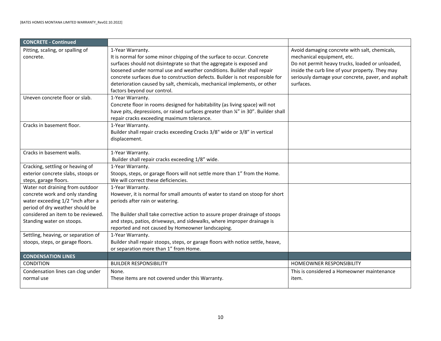<span id="page-10-0"></span>

| <b>CONCRETE - Continued</b>         |                                                                                    |                                                    |
|-------------------------------------|------------------------------------------------------------------------------------|----------------------------------------------------|
| Pitting, scaling, or spalling of    | 1-Year Warranty.                                                                   | Avoid damaging concrete with salt, chemicals,      |
| concrete.                           | It is normal for some minor chipping of the surface to occur. Concrete             | mechanical equipment, etc.                         |
|                                     | surfaces should not disintegrate so that the aggregate is exposed and              | Do not permit heavy trucks, loaded or unloaded,    |
|                                     | loosened under normal use and weather conditions. Builder shall repair             | inside the curb line of your property. They may    |
|                                     | concrete surfaces due to construction defects. Builder is not responsible for      | seriously damage your concrete, paver, and asphalt |
|                                     | deterioration caused by salt, chemicals, mechanical implements, or other           | surfaces.                                          |
|                                     | factors beyond our control.                                                        |                                                    |
| Uneven concrete floor or slab.      | 1-Year Warranty.                                                                   |                                                    |
|                                     | Concrete floor in rooms designed for habitability (as living space) will not       |                                                    |
|                                     | have pits, depressions, or raised surfaces greater than 1/4" in 30". Builder shall |                                                    |
|                                     | repair cracks exceeding maximum tolerance.                                         |                                                    |
| Cracks in basement floor.           | 1-Year Warranty.                                                                   |                                                    |
|                                     | Builder shall repair cracks exceeding Cracks 3/8" wide or 3/8" in vertical         |                                                    |
|                                     | displacement.                                                                      |                                                    |
|                                     |                                                                                    |                                                    |
| Cracks in basement walls.           | 1-Year Warranty.                                                                   |                                                    |
|                                     | Builder shall repair cracks exceeding 1/8" wide.                                   |                                                    |
| Cracking, settling or heaving of    | 1-Year Warranty.                                                                   |                                                    |
| exterior concrete slabs, stoops or  | Stoops, steps, or garage floors will not settle more than 1" from the Home.        |                                                    |
| steps, garage floors.               | We will correct these deficiencies.                                                |                                                    |
| Water not draining from outdoor     | 1-Year Warranty.                                                                   |                                                    |
| concrete work and only standing     | However, it is normal for small amounts of water to stand on stoop for short       |                                                    |
| water exceeding 1/2 "inch after a   | periods after rain or watering.                                                    |                                                    |
| period of dry weather should be     |                                                                                    |                                                    |
| considered an item to be reviewed.  | The Builder shall take corrective action to assure proper drainage of stoops       |                                                    |
| Standing water on stoops.           | and steps, patios, driveways, and sidewalks, where improper drainage is            |                                                    |
|                                     | reported and not caused by Homeowner landscaping.                                  |                                                    |
| Settling, heaving, or separation of | 1-Year Warranty.                                                                   |                                                    |
| stoops, steps, or garage floors.    | Builder shall repair stoops, steps, or garage floors with notice settle, heave,    |                                                    |
|                                     | or separation more than 1" from Home.                                              |                                                    |
| <b>CONDENSATION LINES</b>           |                                                                                    |                                                    |
| <b>CONDITION</b>                    | <b>BUILDER RESPONSIBILITY</b>                                                      | HOMEOWNER RESPONSIBILITY                           |
| Condensation lines can clog under   | None.                                                                              | This is considered a Homeowner maintenance         |
| normal use                          | These items are not covered under this Warranty.                                   | item.                                              |
|                                     |                                                                                    |                                                    |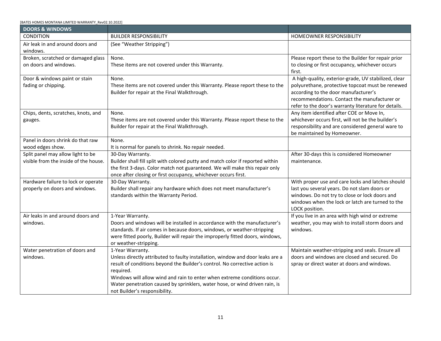<span id="page-11-0"></span>

| <b>DOORS &amp; WINDOWS</b>                                                 |                                                                                                                                                               |                                                                                                      |
|----------------------------------------------------------------------------|---------------------------------------------------------------------------------------------------------------------------------------------------------------|------------------------------------------------------------------------------------------------------|
| <b>CONDITION</b>                                                           | <b>BUILDER RESPONSIBILITY</b>                                                                                                                                 | <b>HOMEOWNER RESPONSIBILITY</b>                                                                      |
| Air leak in and around doors and<br>windows.                               | (See "Weather Stripping")                                                                                                                                     |                                                                                                      |
| Broken, scratched or damaged glass                                         | None.                                                                                                                                                         | Please report these to the Builder for repair prior                                                  |
| on doors and windows.                                                      | These items are not covered under this Warranty.                                                                                                              | to closing or first occupancy, whichever occurs<br>first.                                            |
| Door & windows paint or stain                                              | None.                                                                                                                                                         | A high-quality, exterior-grade, UV stabilized, clear                                                 |
| fading or chipping.                                                        | These items are not covered under this Warranty. Please report these to the                                                                                   | polyurethane, protective topcoat must be renewed                                                     |
|                                                                            | Builder for repair at the Final Walkthrough.                                                                                                                  | according to the door manufacturer's                                                                 |
|                                                                            |                                                                                                                                                               | recommendations. Contact the manufacturer or<br>refer to the door's warranty literature for details. |
| Chips, dents, scratches, knots, and                                        | None.                                                                                                                                                         | Any item identified after COE or Move In,                                                            |
| gauges.                                                                    | These items are not covered under this Warranty. Please report these to the                                                                                   | whichever occurs first, will not be the builder's                                                    |
|                                                                            | Builder for repair at the Final Walkthrough.                                                                                                                  | responsibility and are considered general ware to                                                    |
|                                                                            |                                                                                                                                                               | be maintained by Homeowner.                                                                          |
| Panel in doors shrink do that raw                                          | None.                                                                                                                                                         |                                                                                                      |
| wood edges show.                                                           | It is normal for panels to shrink. No repair needed.                                                                                                          |                                                                                                      |
| Split panel may allow light to be<br>visible from the inside of the house. | 30-Day Warranty.                                                                                                                                              | After 30-days this is considered Homeowner                                                           |
|                                                                            | Builder shall fill split with colored putty and match color if reported within<br>the first 3-days. Color match not guaranteed. We will make this repair only | maintenance.                                                                                         |
|                                                                            | once after closing or first occupancy, whichever occurs first.                                                                                                |                                                                                                      |
| Hardware failure to lock or operate                                        | 30-Day Warranty.                                                                                                                                              | With proper use and care locks and latches should                                                    |
| properly on doors and windows.                                             | Builder shall repair any hardware which does not meet manufacturer's                                                                                          | last you several years. Do not slam doors or                                                         |
|                                                                            | standards within the Warranty Period.                                                                                                                         | windows. Do not try to close or lock doors and                                                       |
|                                                                            |                                                                                                                                                               | windows when the lock or latch are turned to the                                                     |
| Air leaks in and around doors and                                          | 1-Year Warranty.                                                                                                                                              | LOCK position.<br>If you live in an area with high wind or extreme                                   |
| windows.                                                                   | Doors and windows will be installed in accordance with the manufacturer's                                                                                     | weather, you may wish to install storm doors and                                                     |
|                                                                            | standards. If air comes in because doors, windows, or weather-stripping                                                                                       | windows.                                                                                             |
|                                                                            | were fitted poorly, Builder will repair the improperly fitted doors, windows,                                                                                 |                                                                                                      |
|                                                                            | or weather-stripping.                                                                                                                                         |                                                                                                      |
| Water penetration of doors and                                             | 1-Year Warranty.                                                                                                                                              | Maintain weather-stripping and seals. Ensure all                                                     |
| windows.                                                                   | Unless directly attributed to faulty installation, window and door leaks are a                                                                                | doors and windows are closed and secured. Do                                                         |
|                                                                            | result of conditions beyond the Builder's control. No corrective action is<br>required.                                                                       | spray or direct water at doors and windows.                                                          |
|                                                                            | Windows will allow wind and rain to enter when extreme conditions occur.                                                                                      |                                                                                                      |
|                                                                            | Water penetration caused by sprinklers, water hose, or wind driven rain, is                                                                                   |                                                                                                      |
|                                                                            | not Builder's responsibility.                                                                                                                                 |                                                                                                      |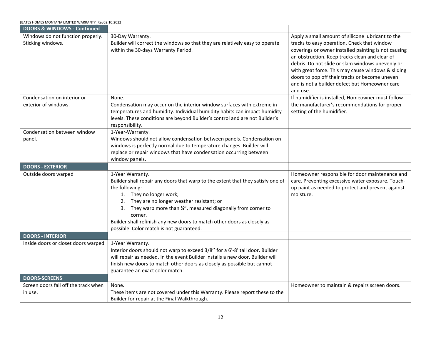<span id="page-12-2"></span><span id="page-12-1"></span><span id="page-12-0"></span>

| [BATES HOMES MONTANA LIMITED WARRANTY Rev02.10.2022]   |                                                                                                                                                                                                                                                                                                                                                                                                    |                                                                                                                                                                                                                                                                                                                                                                                                                                      |
|--------------------------------------------------------|----------------------------------------------------------------------------------------------------------------------------------------------------------------------------------------------------------------------------------------------------------------------------------------------------------------------------------------------------------------------------------------------------|--------------------------------------------------------------------------------------------------------------------------------------------------------------------------------------------------------------------------------------------------------------------------------------------------------------------------------------------------------------------------------------------------------------------------------------|
| <b>DOORS &amp; WINDOWS - Continued</b>                 |                                                                                                                                                                                                                                                                                                                                                                                                    |                                                                                                                                                                                                                                                                                                                                                                                                                                      |
| Windows do not function properly.<br>Sticking windows. | 30-Day Warranty.<br>Builder will correct the windows so that they are relatively easy to operate<br>within the 30-days Warranty Period.                                                                                                                                                                                                                                                            | Apply a small amount of silicone lubricant to the<br>tracks to easy operation. Check that window<br>coverings or owner installed painting is not causing<br>an obstruction. Keep tracks clean and clear of<br>debris. Do not slide or slam windows unevenly or<br>with great force. This may cause windows & sliding<br>doors to pop off their tracks or become uneven<br>and is not a builder defect but Homeowner care<br>and use. |
| Condensation on interior or<br>exterior of windows.    | None.<br>Condensation may occur on the interior window surfaces with extreme in<br>temperatures and humidity. Individual humidity habits can impact humidity<br>levels. These conditions are beyond Builder's control and are not Builder's<br>responsibility.                                                                                                                                     | If humidifier is installed, Homeowner must follow<br>the manufacturer's recommendations for proper<br>setting of the humidifier.                                                                                                                                                                                                                                                                                                     |
| Condensation between window<br>panel.                  | 1-Year-Warranty.<br>Windows should not allow condensation between panels. Condensation on<br>windows is perfectly normal due to temperature changes. Builder will<br>replace or repair windows that have condensation occurring between<br>window panels.                                                                                                                                          |                                                                                                                                                                                                                                                                                                                                                                                                                                      |
| <b>DOORS - EXTERIOR</b>                                |                                                                                                                                                                                                                                                                                                                                                                                                    |                                                                                                                                                                                                                                                                                                                                                                                                                                      |
| Outside doors warped                                   | 1-Year Warranty.<br>Builder shall repair any doors that warp to the extent that they satisfy one of<br>the following:<br>1. They no longer work;<br>2. They are no longer weather resistant; or<br>3. They warp more than %", measured diagonally from corner to<br>corner.<br>Builder shall refinish any new doors to match other doors as closely as<br>possible. Color match is not guaranteed. | Homeowner responsible for door maintenance and<br>care. Preventing excessive water exposure. Touch-<br>up paint as needed to protect and prevent against<br>moisture.                                                                                                                                                                                                                                                                |
| <b>DOORS - INTERIOR</b>                                |                                                                                                                                                                                                                                                                                                                                                                                                    |                                                                                                                                                                                                                                                                                                                                                                                                                                      |
| Inside doors or closet doors warped                    | 1-Year Warranty.<br>Interior doors should not warp to exceed 3/8" for a 6'-8' tall door. Builder<br>will repair as needed. In the event Builder installs a new door, Builder will<br>finish new doors to match other doors as closely as possible but cannot<br>guarantee an exact color match.                                                                                                    |                                                                                                                                                                                                                                                                                                                                                                                                                                      |
| <b>DOORS-SCREENS</b>                                   |                                                                                                                                                                                                                                                                                                                                                                                                    |                                                                                                                                                                                                                                                                                                                                                                                                                                      |
| Screen doors fall off the track when<br>in use.        | None.<br>These items are not covered under this Warranty. Please report these to the<br>Builder for repair at the Final Walkthrough.                                                                                                                                                                                                                                                               | Homeowner to maintain & repairs screen doors.                                                                                                                                                                                                                                                                                                                                                                                        |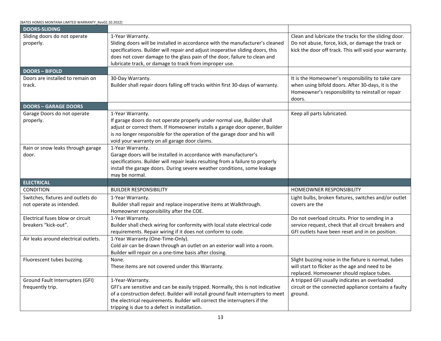<span id="page-13-3"></span><span id="page-13-2"></span><span id="page-13-1"></span><span id="page-13-0"></span>

| [BATES HOMES MONTANA LIMITED WARRANTY_Rev02.10.2022]          |                                                                                                                                                                                                                                                                                                                            |                                                                                                                                                                       |
|---------------------------------------------------------------|----------------------------------------------------------------------------------------------------------------------------------------------------------------------------------------------------------------------------------------------------------------------------------------------------------------------------|-----------------------------------------------------------------------------------------------------------------------------------------------------------------------|
| <b>DOORS-SLIDING</b>                                          |                                                                                                                                                                                                                                                                                                                            |                                                                                                                                                                       |
| Sliding doors do not operate<br>properly.                     | 1-Year Warranty.<br>Sliding doors will be installed in accordance with the manufacturer's cleaned<br>specifications. Builder will repair and adjust inoperative sliding doors, this<br>does not cover damage to the glass pain of the door, failure to clean and<br>lubricate track, or damage to track from improper use. | Clean and lubricate the tracks for the sliding door.<br>Do not abuse, force, kick, or damage the track or<br>kick the door off track. This will void your warranty.   |
| <b>DOORS-BIFOLD</b>                                           |                                                                                                                                                                                                                                                                                                                            |                                                                                                                                                                       |
| Doors are installed to remain on<br>track.                    | 30-Day Warranty.<br>Builder shall repair doors falling off tracks within first 30-days of warranty.                                                                                                                                                                                                                        | It is the Homeowner's responsibility to take care<br>when using bifold doors. After 30-days, it is the<br>Homeowner's responsibility to reinstall or repair<br>doors. |
| <b>DOORS - GARAGE DOORS</b>                                   |                                                                                                                                                                                                                                                                                                                            |                                                                                                                                                                       |
| Garage Doors do not operate<br>properly.                      | 1-Year Warranty.<br>If garage doors do not operate properly under normal use, Builder shall<br>adjust or correct them. If Homeowner installs a garage door opener, Builder<br>is no longer responsible for the operation of the garage door and his will<br>void your warranty on all garage door claims.                  | Keep all parts lubricated.                                                                                                                                            |
| Rain or snow leaks through garage<br>door.                    | 1-Year Warranty.<br>Garage doors will be installed in accordance with manufacturer's<br>specifications. Builder will repair leaks resulting from a failure to properly<br>install the garage doors. During severe weather conditions, some leakage<br>may be normal.                                                       |                                                                                                                                                                       |
| <b>ELECTRICAL</b>                                             |                                                                                                                                                                                                                                                                                                                            |                                                                                                                                                                       |
| CONDITION                                                     | <b>BUILDER RESPONSIBILITY</b>                                                                                                                                                                                                                                                                                              | HOMEOWNER RESPONSIBILITY                                                                                                                                              |
| Switches, fixtures and outlets do<br>not operate as intended. | 1-Year Warranty.<br>Builder shall repair and replace inoperative items at Walkthrough.<br>Homeowner responsibility after the COE.                                                                                                                                                                                          | Light bulbs, broken fixtures, switches and/or outlet<br>covers are the                                                                                                |
| Electrical fuses blow or circuit<br>breakers "kick-out".      | 1-Year Warranty.<br>Builder shall check wiring for conformity with local state electrical code<br>requirements. Repair wiring if it does not conform to code.                                                                                                                                                              | Do not overload circuits. Prior to sending in a<br>service request, check that all circuit breakers and<br>GFI outlets have been reset and in on position.            |
| Air leaks around electrical outlets.                          | 1-Year Warranty (One-Time-Only).<br>Cold air can be drawn through an outlet on an exterior wall into a room.<br>Builder will repair on a one-time basis after closing.                                                                                                                                                     |                                                                                                                                                                       |
| Fluorescent tubes buzzing.                                    | None.<br>These items are not covered under this Warranty.                                                                                                                                                                                                                                                                  | Slight buzzing noise in the fixture is normal, tubes<br>will start to flicker as the age and need to be<br>replaced. Homeowner should replace tubes.                  |
| Ground Fault Interrupters (GFI)<br>frequently trip.           | 1-Year-Warranty.<br>GFI's are sensitive and can be easily tripped. Normally, this is not indicative<br>of a construction defect. Builder will install ground fault interrupters to meet<br>the electrical requirements. Builder will correct the interrupters if the<br>tripping is due to a defect in installation.       | A tripped GFI usually indicates an overloaded<br>circuit or the connected appliance contains a faulty<br>ground.                                                      |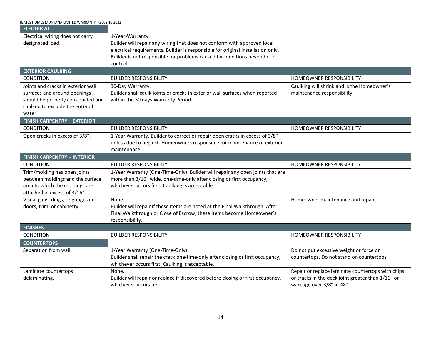<span id="page-14-4"></span><span id="page-14-3"></span><span id="page-14-2"></span><span id="page-14-1"></span><span id="page-14-0"></span>

| BATES HOMES MONTANA LIMITED WARRANTY_Rev02.10.2022]    |                                                                                                                                                          |                                                                                |
|--------------------------------------------------------|----------------------------------------------------------------------------------------------------------------------------------------------------------|--------------------------------------------------------------------------------|
| <b>ELECTRICAL</b>                                      |                                                                                                                                                          |                                                                                |
| Electrical wiring does not carry<br>designated load.   | 1-Year-Warranty.<br>Builder will repair any wiring that does not conform with approved local                                                             |                                                                                |
|                                                        | electrical requirements. Builder is responsible for original installation only.                                                                          |                                                                                |
|                                                        | Builder is not responsible for problems caused by conditions beyond our                                                                                  |                                                                                |
|                                                        | control.                                                                                                                                                 |                                                                                |
| <b>EXTERIOR CAULKING</b>                               |                                                                                                                                                          |                                                                                |
| <b>CONDITION</b>                                       | <b>BUILDER RESPONSIBILITY</b>                                                                                                                            | HOMEOWNER RESPONSIBILITY                                                       |
| Joints and cracks in exterior wall                     | 30-Day Warranty.                                                                                                                                         | Caulking will shrink and is the Homeowner's                                    |
| surfaces and around openings                           | Builder shall caulk joints or cracks in exterior wall surfaces when reported                                                                             | maintenance responsibility.                                                    |
| should be properly constructed and                     | within the 30 days Warranty Period.                                                                                                                      |                                                                                |
| caulked to exclude the entry of                        |                                                                                                                                                          |                                                                                |
| water.                                                 |                                                                                                                                                          |                                                                                |
| <b>FINISH CARPENTRY - EXTERIOR</b><br><b>CONDITION</b> | <b>BUILDER RESPONSIBILITY</b>                                                                                                                            | HOMEOWNER RESPONSIBILITY                                                       |
|                                                        |                                                                                                                                                          |                                                                                |
| Open cracks in excess of 3/8".                         | 1-Year Warranty. Builder to correct or repair open cracks in excess of 3/8"<br>unless due to neglect. Homeowners responsible for maintenance of exterior |                                                                                |
|                                                        | maintenance.                                                                                                                                             |                                                                                |
| <b>FINISH CARPENTRY - INTERIOR</b>                     |                                                                                                                                                          |                                                                                |
| <b>CONDITION</b>                                       | <b>BUILDER RESPONSIBILITY</b>                                                                                                                            | HOMEOWNER RESPONSIBILITY                                                       |
| Trim/molding has open joints                           | 1-Year Warranty (One-Time-Only). Builder will repair any open joints that are                                                                            |                                                                                |
| between moldings and the surface                       | more than 3/16" wide, one-time-only after closing or first occupancy,                                                                                    |                                                                                |
| area to which the moldings are                         | whichever occurs first. Caulking is acceptable.                                                                                                          |                                                                                |
| attached in excess of 3/16".                           |                                                                                                                                                          |                                                                                |
| Visual gaps, dings, or gouges in                       | None.                                                                                                                                                    | Homeowner maintenance and repair.                                              |
| doors, trim, or cabinetry.                             | Builder will repair if these items are noted at the Final Walkthrough. After                                                                             |                                                                                |
|                                                        | Final Walkthrough or Close of Escrow, these items become Homeowner's                                                                                     |                                                                                |
|                                                        | responsibility.                                                                                                                                          |                                                                                |
| <b>FINISHES</b>                                        |                                                                                                                                                          |                                                                                |
| CONDITION                                              | <b>BUILDER RESPONSIBILITY</b>                                                                                                                            | HOMEOWNER RESPONSIBILITY                                                       |
| <b>COUNTERTOPS</b>                                     |                                                                                                                                                          |                                                                                |
| Separation from wall.                                  | 1-Year Warranty (One-Time-Only).                                                                                                                         | Do not put excessive weight or force on                                        |
|                                                        | Builder shall repair the crack one-time-only after closing or first occupancy,                                                                           | countertops. Do not stand on countertops.                                      |
|                                                        | whichever occurs first. Caulking is acceptable.                                                                                                          |                                                                                |
| Laminate countertops                                   | None.                                                                                                                                                    | Repair or replace laminate countertops with chips                              |
| delaminating.                                          | Builder will repair or replace if discovered before closing or first occupancy,<br>whichever occurs first.                                               | or cracks in the deck joint greater than 1/16" or<br>warpage over 3/8" in 48". |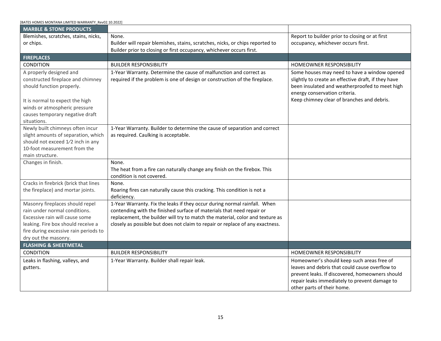<span id="page-15-2"></span><span id="page-15-1"></span><span id="page-15-0"></span>

| [BATES HOMES MONTANA LIMITED WARRANTY_Rev02.10.2022]                                                                                                                                                            |                                                                                                                                                                                                                                                                                                                      |                                                                                                                                                                                                                                      |
|-----------------------------------------------------------------------------------------------------------------------------------------------------------------------------------------------------------------|----------------------------------------------------------------------------------------------------------------------------------------------------------------------------------------------------------------------------------------------------------------------------------------------------------------------|--------------------------------------------------------------------------------------------------------------------------------------------------------------------------------------------------------------------------------------|
| <b>MARBLE &amp; STONE PRODUCTS</b>                                                                                                                                                                              |                                                                                                                                                                                                                                                                                                                      |                                                                                                                                                                                                                                      |
| Blemishes, scratches, stains, nicks,                                                                                                                                                                            | None.                                                                                                                                                                                                                                                                                                                | Report to builder prior to closing or at first                                                                                                                                                                                       |
| or chips.                                                                                                                                                                                                       | Builder will repair blemishes, stains, scratches, nicks, or chips reported to                                                                                                                                                                                                                                        | occupancy, whichever occurs first.                                                                                                                                                                                                   |
|                                                                                                                                                                                                                 | Builder prior to closing or first occupancy, whichever occurs first.                                                                                                                                                                                                                                                 |                                                                                                                                                                                                                                      |
| <b>FIREPLACES</b>                                                                                                                                                                                               |                                                                                                                                                                                                                                                                                                                      |                                                                                                                                                                                                                                      |
| <b>CONDITION</b>                                                                                                                                                                                                | <b>BUILDER RESPONSIBILITY</b>                                                                                                                                                                                                                                                                                        | HOMEOWNER RESPONSIBILITY                                                                                                                                                                                                             |
| A properly designed and<br>constructed fireplace and chimney<br>should function properly.<br>It is normal to expect the high<br>winds or atmospheric pressure<br>causes temporary negative draft<br>situations. | 1-Year Warranty. Determine the cause of malfunction and correct as<br>required if the problem is one of design or construction of the fireplace.                                                                                                                                                                     | Some houses may need to have a window opened<br>slightly to create an effective draft, if they have<br>been insulated and weatherproofed to meet high<br>energy conservation criteria.<br>Keep chimney clear of branches and debris. |
| Newly built chimneys often incur<br>slight amounts of separation, which<br>should not exceed 1/2 inch in any<br>10-foot measurement from the<br>main structure.                                                 | 1-Year Warranty. Builder to determine the cause of separation and correct<br>as required. Caulking is acceptable.                                                                                                                                                                                                    |                                                                                                                                                                                                                                      |
| Changes in finish.                                                                                                                                                                                              | None.<br>The heat from a fire can naturally change any finish on the firebox. This<br>condition is not covered.                                                                                                                                                                                                      |                                                                                                                                                                                                                                      |
| Cracks in firebrick (brick that lines<br>the fireplace) and mortar joints.                                                                                                                                      | None.<br>Roaring fires can naturally cause this cracking. This condition is not a<br>deficiency.                                                                                                                                                                                                                     |                                                                                                                                                                                                                                      |
| Masonry fireplaces should repel<br>rain under normal conditions.<br>Excessive rain will cause some<br>leaking. Fire box should receive a<br>fire during excessive rain periods to<br>dry out the masonry.       | 1-Year Warranty. Fix the leaks if they occur during normal rainfall. When<br>contending with the finished surface of materials that need repair or<br>replacement, the builder will try to match the material, color and texture as<br>closely as possible but does not claim to repair or replace of any exactness. |                                                                                                                                                                                                                                      |
| <b>FLASHING &amp; SHEETMETAL</b>                                                                                                                                                                                |                                                                                                                                                                                                                                                                                                                      |                                                                                                                                                                                                                                      |
| <b>CONDITION</b>                                                                                                                                                                                                | <b>BUILDER RESPONSIBILITY</b>                                                                                                                                                                                                                                                                                        | <b>HOMEOWNER RESPONSIBILITY</b>                                                                                                                                                                                                      |
| Leaks in flashing, valleys, and<br>gutters.                                                                                                                                                                     | 1-Year Warranty. Builder shall repair leak.                                                                                                                                                                                                                                                                          | Homeowner's should keep such areas free of<br>leaves and debris that could cause overflow to<br>prevent leaks. If discovered, homeowners should<br>repair leaks immediately to prevent damage to<br>other parts of their home.       |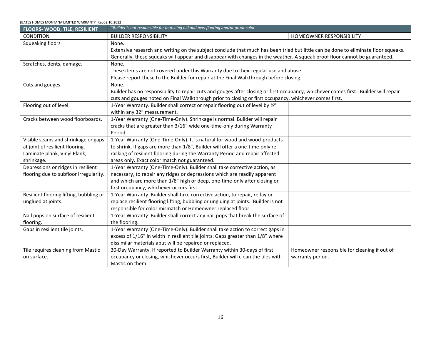<span id="page-16-0"></span>

| [BATES HOMES MONTANA LIMITED WARRANTY Rev02.10.2022] |                                                                                                                                      |                                              |  |
|------------------------------------------------------|--------------------------------------------------------------------------------------------------------------------------------------|----------------------------------------------|--|
| FLOORS-WOOD, TILE, RESILIENT                         | *Builder is not responsible for matching old and new flooring and/or grout color.                                                    |                                              |  |
| <b>CONDITION</b>                                     | <b>BUILDER RESPONSIBILITY</b>                                                                                                        | HOMEOWNER RESPONSIBILITY                     |  |
| Squeaking floors                                     | None.                                                                                                                                |                                              |  |
|                                                      | Extensive research and writing on the subject conclude that much has been tried but little can be done to eliminate floor squeaks.   |                                              |  |
|                                                      | Generally, these squeaks will appear and disappear with changes in the weather. A squeak proof floor cannot be guaranteed.           |                                              |  |
| Scratches, dents, damage.                            | None.                                                                                                                                |                                              |  |
|                                                      | These items are not covered under this Warranty due to their regular use and abuse.                                                  |                                              |  |
|                                                      | Please report these to the Builder for repair at the Final Walkthrough before closing.                                               |                                              |  |
| Cuts and gouges.                                     | None.                                                                                                                                |                                              |  |
|                                                      | Builder has no responsibility to repair cuts and gouges after closing or first occupancy, whichever comes first. Builder will repair |                                              |  |
|                                                      | cuts and gouges noted on Final Walkthrough prior to closing or first occupancy, whichever comes first.                               |                                              |  |
| Flooring out of level.                               | 1-Year Warranty. Builder shall correct or repair flooring out of level by 1/2"                                                       |                                              |  |
|                                                      | within any 32" measurement.                                                                                                          |                                              |  |
| Cracks between wood floorboards.                     | 1-Year Warranty (One-Time-Only). Shrinkage is normal. Builder will repair                                                            |                                              |  |
|                                                      | cracks that are greater than 3/16" wide one-time-only during Warranty                                                                |                                              |  |
|                                                      | Period.                                                                                                                              |                                              |  |
| Visible seams and shrinkage or gaps                  | 1-Year Warranty (One-Time-Only). It is natural for wood and wood-products                                                            |                                              |  |
| at joint of resilient flooring.                      | to shrink. If gaps are more than 1/8", Builder will offer a one-time-only re-                                                        |                                              |  |
| Laminate plank, Vinyl Plank,                         | racking of resilient flooring during the Warranty Period and repair affected                                                         |                                              |  |
| shrinkage.                                           | areas only. Exact color match not guaranteed.                                                                                        |                                              |  |
| Depressions or ridges in resilient                   | 1-Year Warranty (One-Time-Only). Builder shall take corrective action, as                                                            |                                              |  |
| flooring due to subfloor irregularity.               | necessary, to repair any ridges or depressions which are readily apparent                                                            |                                              |  |
|                                                      | and which are more than 1/8" high or deep, one-time-only after closing or                                                            |                                              |  |
|                                                      | first occupancy, whichever occurs first.                                                                                             |                                              |  |
| Resilient flooring lifting, bubbling or              | 1-Year Warranty. Builder shall take corrective action, to repair, re-lay or                                                          |                                              |  |
| unglued at joints.                                   | replace resilient flooring lifting, bubbling or ungluing at joints. Builder is not                                                   |                                              |  |
|                                                      | responsible for color mismatch or Homeowner replaced floor.                                                                          |                                              |  |
| Nail pops on surface of resilient                    | 1-Year Warranty. Builder shall correct any nail pops that break the surface of                                                       |                                              |  |
| flooring.                                            | the flooring.                                                                                                                        |                                              |  |
| Gaps in resilient tile joints.                       | 1-Year Warranty (One-Time-Only). Builder shall take action to correct gaps in                                                        |                                              |  |
|                                                      | excess of 1/16" in width in resilient tile joints. Gaps greater than 1/8" where                                                      |                                              |  |
|                                                      | dissimilar materials abut will be repaired or replaced.                                                                              |                                              |  |
| Tile requires cleaning from Mastic                   | 30-Day Warranty. If reported to Builder Warranty within 30-days of first                                                             | Homeowner responsible for cleaning if out of |  |
| on surface.                                          | occupancy or closing, whichever occurs first, Builder will clean the tiles with                                                      | warranty period.                             |  |
|                                                      | Mastic on them.                                                                                                                      |                                              |  |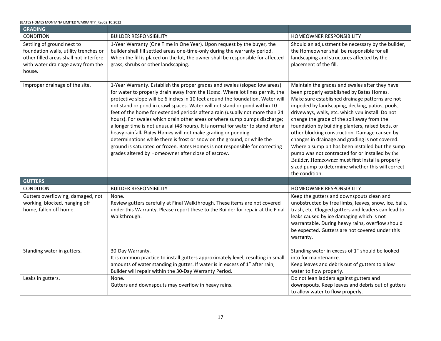<span id="page-17-1"></span><span id="page-17-0"></span>

| <b>GRADING</b>                                                                                                                                               |                                                                                                                                                                                                                                                                                                                                                                                                                                                                                                                                                                                                                                                                                                                                                                                                                                                            |                                                                                                                                                                                                                                                                                                                                                                                                                                                                                                                                                                                                                                                                                               |
|--------------------------------------------------------------------------------------------------------------------------------------------------------------|------------------------------------------------------------------------------------------------------------------------------------------------------------------------------------------------------------------------------------------------------------------------------------------------------------------------------------------------------------------------------------------------------------------------------------------------------------------------------------------------------------------------------------------------------------------------------------------------------------------------------------------------------------------------------------------------------------------------------------------------------------------------------------------------------------------------------------------------------------|-----------------------------------------------------------------------------------------------------------------------------------------------------------------------------------------------------------------------------------------------------------------------------------------------------------------------------------------------------------------------------------------------------------------------------------------------------------------------------------------------------------------------------------------------------------------------------------------------------------------------------------------------------------------------------------------------|
| CONDITION                                                                                                                                                    | <b>BUILDER RESPONSIBILITY</b>                                                                                                                                                                                                                                                                                                                                                                                                                                                                                                                                                                                                                                                                                                                                                                                                                              | HOMEOWNER RESPONSIBILITY                                                                                                                                                                                                                                                                                                                                                                                                                                                                                                                                                                                                                                                                      |
| Settling of ground next to<br>foundation walls, utility trenches or<br>other filled areas shall not interfere<br>with water drainage away from the<br>house. | 1-Year Warranty (One Time in One Year). Upon request by the buyer, the<br>builder shall fill settled areas one-time-only during the warranty period.<br>When the fill is placed on the lot, the owner shall be responsible for affected<br>grass, shrubs or other landscaping.                                                                                                                                                                                                                                                                                                                                                                                                                                                                                                                                                                             | Should an adjustment be necessary by the builder,<br>the Homeowner shall be responsible for all<br>landscaping and structures affected by the<br>placement of the fill.                                                                                                                                                                                                                                                                                                                                                                                                                                                                                                                       |
| Improper drainage of the site.                                                                                                                               | 1-Year Warranty. Establish the proper grades and swales (sloped low areas)<br>for water to properly drain away from the Home. Where lot lines permit, the<br>protective slope will be 6 inches in 10 feet around the foundation. Water will<br>not stand or pond in crawl spaces. Water will not stand or pond within 10<br>feet of the home for extended periods after a rain (usually not more than 24<br>hours). For swales which drain other areas or where sump pumps discharge;<br>a longer time is not unusual (48 hours). It is normal for water to stand after a<br>heavy rainfall. Bates Homes will not make grading or ponding<br>determinations while there is frost or snow on the ground, or while the<br>ground is saturated or frozen. Bates Homes is not responsible for correcting<br>grades altered by Homeowner after close of escrow. | Maintain the grades and swales after they have<br>been properly established by Bates Homes.<br>Make sure established drainage patterns are not<br>impeded by landscaping, decking, patios, pools,<br>driveways, walls, etc. which you install. Do not<br>change the grade of the soil away from the<br>foundation by building planters, raised beds, or<br>other blocking construction. Damage caused by<br>changes in drainage and grading is not covered.<br>Where a sump pit has been installed but the sump<br>pump was not contracted for or installed by the<br>Builder, Homeowner must first install a properly<br>sized pump to determine whether this will correct<br>the condition. |
| <b>GUTTERS</b>                                                                                                                                               |                                                                                                                                                                                                                                                                                                                                                                                                                                                                                                                                                                                                                                                                                                                                                                                                                                                            |                                                                                                                                                                                                                                                                                                                                                                                                                                                                                                                                                                                                                                                                                               |
| <b>CONDITION</b>                                                                                                                                             | <b>BUILDER RESPONSIBILITY</b>                                                                                                                                                                                                                                                                                                                                                                                                                                                                                                                                                                                                                                                                                                                                                                                                                              | HOMEOWNER RESPONSIBILITY                                                                                                                                                                                                                                                                                                                                                                                                                                                                                                                                                                                                                                                                      |
| Gutters overflowing, damaged, not<br>working, blocked, hanging off<br>home, fallen off home.                                                                 | None.<br>Review gutters carefully at Final Walkthrough. These items are not covered<br>under this Warranty. Please report these to the Builder for repair at the Final<br>Walkthrough.                                                                                                                                                                                                                                                                                                                                                                                                                                                                                                                                                                                                                                                                     | Keep the gutters and downspouts clean and<br>unobstructed by tree limbs, leaves, snow, ice, balls,<br>trash, etc. Clogged gutters and leaders can lead to<br>leaks caused by ice damaging which is not<br>warrantable. During heavy rains, overflow should<br>be expected. Gutters are not covered under this<br>warranty.                                                                                                                                                                                                                                                                                                                                                                    |
| Standing water in gutters.                                                                                                                                   | 30-Day Warranty.<br>It is common practice to install gutters approximately level, resulting in small<br>amounts of water standing in gutter. If water is in excess of 1" after rain,<br>Builder will repair within the 30-Day Warranty Period.                                                                                                                                                                                                                                                                                                                                                                                                                                                                                                                                                                                                             | Standing water in excess of 1" should be looked<br>into for maintenance.<br>Keep leaves and debris out of gutters to allow<br>water to flow properly.                                                                                                                                                                                                                                                                                                                                                                                                                                                                                                                                         |
| Leaks in gutters.                                                                                                                                            | None.<br>Gutters and downspouts may overflow in heavy rains.                                                                                                                                                                                                                                                                                                                                                                                                                                                                                                                                                                                                                                                                                                                                                                                               | Do not lean ladders against gutters and<br>downspouts. Keep leaves and debris out of gutters<br>to allow water to flow properly.                                                                                                                                                                                                                                                                                                                                                                                                                                                                                                                                                              |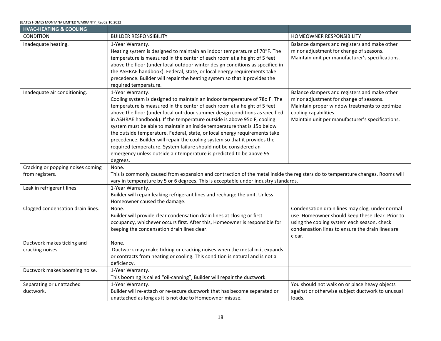<span id="page-18-0"></span>

| <b>HVAC-HEATING &amp; COOLING</b> |                                                                                                                                                                                                                                                                                                                                                                                                                                                                                                                                                                                                                                                                                                                                     |                                                                                                                                                                                                                       |
|-----------------------------------|-------------------------------------------------------------------------------------------------------------------------------------------------------------------------------------------------------------------------------------------------------------------------------------------------------------------------------------------------------------------------------------------------------------------------------------------------------------------------------------------------------------------------------------------------------------------------------------------------------------------------------------------------------------------------------------------------------------------------------------|-----------------------------------------------------------------------------------------------------------------------------------------------------------------------------------------------------------------------|
| <b>CONDITION</b>                  | <b>BUILDER RESPONSIBILITY</b>                                                                                                                                                                                                                                                                                                                                                                                                                                                                                                                                                                                                                                                                                                       | <b>HOMEOWNER RESPONSIBILITY</b>                                                                                                                                                                                       |
| Inadequate heating.               | 1-Year Warranty.<br>Heating system is designed to maintain an indoor temperature of 70°F. The<br>temperature is measured in the center of each room at a height of 5 feet<br>above the floor (under local outdoor winter design conditions as specified in<br>the ASHRAE handbook). Federal, state, or local energy requirements take<br>precedence. Builder will repair the heating system so that it provides the<br>required temperature.                                                                                                                                                                                                                                                                                        | Balance dampers and registers and make other<br>minor adjustment for change of seasons.<br>Maintain unit per manufacturer's specifications.                                                                           |
| Inadequate air conditioning.      | 1-Year Warranty.<br>Cooling system is designed to maintain an indoor temperature of 780 F. The<br>temperature is measured in the center of each room at a height of 5 feet<br>above the floor (under local out-door summer design conditions as specified<br>in ASHRAE handbook). If the temperature outside is above 95o F, cooling<br>system must be able to maintain an inside temperature that is 150 below<br>the outside temperature. Federal, state, or local energy requirements take<br>precedence. Builder will repair the cooling system so that it provides the<br>required temperature. System failure should not be considered an<br>emergency unless outside air temperature is predicted to be above 95<br>degrees. | Balance dampers and registers and make other<br>minor adjustment for change of seasons.<br>Maintain proper window treatments to optimize<br>cooling capabilities.<br>Maintain unit per manufacturer's specifications. |
| Cracking or popping noises coming | None.                                                                                                                                                                                                                                                                                                                                                                                                                                                                                                                                                                                                                                                                                                                               |                                                                                                                                                                                                                       |
| from registers.                   | This is commonly caused from expansion and contraction of the metal inside the registers do to temperature changes. Rooms will<br>vary in temperature by 5 or 6 degrees. This is acceptable under industry standards.                                                                                                                                                                                                                                                                                                                                                                                                                                                                                                               |                                                                                                                                                                                                                       |
| Leak in refrigerant lines.        | 1-Year Warranty.<br>Builder will repair leaking refrigerant lines and recharge the unit. Unless<br>Homeowner caused the damage.                                                                                                                                                                                                                                                                                                                                                                                                                                                                                                                                                                                                     |                                                                                                                                                                                                                       |
| Clogged condensation drain lines. | None.<br>Builder will provide clear condensation drain lines at closing or first<br>occupancy, whichever occurs first. After this, Homeowner is responsible for<br>keeping the condensation drain lines clear.                                                                                                                                                                                                                                                                                                                                                                                                                                                                                                                      | Condensation drain lines may clog, under normal<br>use. Homeowner should keep these clear. Prior to<br>using the cooling system each season, check<br>condensation lines to ensure the drain lines are<br>clear.      |
| Ductwork makes ticking and        | None.                                                                                                                                                                                                                                                                                                                                                                                                                                                                                                                                                                                                                                                                                                                               |                                                                                                                                                                                                                       |
| cracking noises.                  | Ductwork may make ticking or cracking noises when the metal in it expands<br>or contracts from heating or cooling. This condition is natural and is not a<br>deficiency.                                                                                                                                                                                                                                                                                                                                                                                                                                                                                                                                                            |                                                                                                                                                                                                                       |
| Ductwork makes booming noise.     | 1-Year Warranty.<br>This booming is called "oil-canning", Builder will repair the ductwork.                                                                                                                                                                                                                                                                                                                                                                                                                                                                                                                                                                                                                                         |                                                                                                                                                                                                                       |
| Separating or unattached          | 1-Year Warranty.                                                                                                                                                                                                                                                                                                                                                                                                                                                                                                                                                                                                                                                                                                                    | You should not walk on or place heavy objects                                                                                                                                                                         |
| ductwork.                         | Builder will re-attach or re-secure ductwork that has become separated or<br>unattached as long as it is not due to Homeowner misuse.                                                                                                                                                                                                                                                                                                                                                                                                                                                                                                                                                                                               | against or otherwise subject ductwork to unusual<br>loads.                                                                                                                                                            |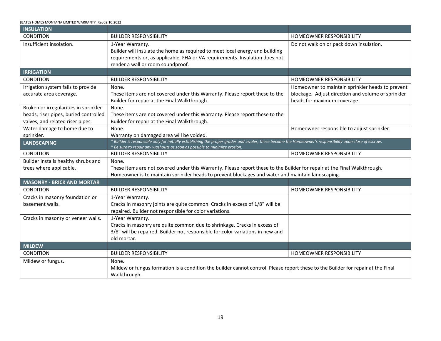| [BATES HOMES MONTANA LIMITED WARRANTY Rev02.10.2022] |  |
|------------------------------------------------------|--|
|------------------------------------------------------|--|

<span id="page-19-4"></span><span id="page-19-3"></span><span id="page-19-2"></span><span id="page-19-1"></span><span id="page-19-0"></span>

| <b>INSULATION</b>                                                                                                                |                                                                                                                                                          |                                                    |  |
|----------------------------------------------------------------------------------------------------------------------------------|----------------------------------------------------------------------------------------------------------------------------------------------------------|----------------------------------------------------|--|
| <b>CONDITION</b>                                                                                                                 | <b>BUILDER RESPONSIBILITY</b>                                                                                                                            | <b>HOMEOWNER RESPONSIBILITY</b>                    |  |
| Insufficient insolation.                                                                                                         | 1-Year Warranty.                                                                                                                                         | Do not walk on or pack down insulation.            |  |
|                                                                                                                                  | Builder will insulate the home as required to meet local energy and building                                                                             |                                                    |  |
|                                                                                                                                  | requirements or, as applicable, FHA or VA requirements. Insulation does not                                                                              |                                                    |  |
|                                                                                                                                  | render a wall or room soundproof.                                                                                                                        |                                                    |  |
| <b>IRRIGATION</b>                                                                                                                |                                                                                                                                                          |                                                    |  |
| CONDITION                                                                                                                        | <b>BUILDER RESPONSIBILITY</b>                                                                                                                            | HOMEOWNER RESPONSIBILITY                           |  |
| Irrigation system fails to provide                                                                                               | None.                                                                                                                                                    | Homeowner to maintain sprinkler heads to prevent   |  |
| accurate area coverage.                                                                                                          | These items are not covered under this Warranty. Please report these to the                                                                              | blockage. Adjust direction and volume of sprinkler |  |
|                                                                                                                                  | Builder for repair at the Final Walkthrough.                                                                                                             | heads for maximum coverage.                        |  |
| Broken or irregularities in sprinkler                                                                                            | None.                                                                                                                                                    |                                                    |  |
| heads, riser pipes, buried controlled                                                                                            | These items are not covered under this Warranty. Please report these to the                                                                              |                                                    |  |
| valves, and related riser pipes.<br>Water damage to home due to                                                                  | Builder for repair at the Final Walkthrough.<br>None.                                                                                                    |                                                    |  |
| sprinkler.                                                                                                                       | Warranty on damaged area will be voided.                                                                                                                 | Homeowner responsible to adjust sprinkler.         |  |
| <b>LANDSCAPING</b>                                                                                                               | * Builder is responsible only for initially establishing the proper grades and swales, these become the Homeowner's responsibility upon close of escrow. |                                                    |  |
|                                                                                                                                  | * Be sure to repair any washouts as soon as possible to minimize erosion.                                                                                |                                                    |  |
| <b>CONDITION</b>                                                                                                                 | <b>BUILDER RESPONSIBILITY</b>                                                                                                                            | <b>HOMEOWNER RESPONSIBILITY</b>                    |  |
| Builder installs healthy shrubs and                                                                                              | None.                                                                                                                                                    |                                                    |  |
| trees where applicable.                                                                                                          | These items are not covered under this Warranty. Please report these to the Builder for repair at the Final Walkthrough.                                 |                                                    |  |
|                                                                                                                                  | Homeowner is to maintain sprinkler heads to prevent blockages and water and maintain landscaping.                                                        |                                                    |  |
| <b>MASONRY - BRICK AND MORTAR</b>                                                                                                |                                                                                                                                                          |                                                    |  |
| <b>CONDITION</b>                                                                                                                 | <b>BUILDER RESPONSIBILITY</b>                                                                                                                            | <b>HOMEOWNER RESPONSIBILITY</b>                    |  |
| Cracks in masonry foundation or                                                                                                  | 1-Year Warranty.                                                                                                                                         |                                                    |  |
| basement walls.                                                                                                                  | Cracks in masonry joints are quite common. Cracks in excess of 1/8" will be                                                                              |                                                    |  |
|                                                                                                                                  | repaired. Builder not responsible for color variations.                                                                                                  |                                                    |  |
| Cracks in masonry or veneer walls.                                                                                               | 1-Year Warranty.                                                                                                                                         |                                                    |  |
|                                                                                                                                  | Cracks in masonry are quite common due to shrinkage. Cracks in excess of                                                                                 |                                                    |  |
|                                                                                                                                  | 3/8" will be repaired. Builder not responsible for color variations in new and                                                                           |                                                    |  |
|                                                                                                                                  | old mortar.                                                                                                                                              |                                                    |  |
| <b>MILDEW</b>                                                                                                                    |                                                                                                                                                          |                                                    |  |
| <b>CONDITION</b>                                                                                                                 | <b>BUILDER RESPONSIBILITY</b>                                                                                                                            | HOMEOWNER RESPONSIBILITY                           |  |
| Mildew or fungus.                                                                                                                | None.                                                                                                                                                    |                                                    |  |
| Mildew or fungus formation is a condition the builder cannot control. Please report these to the Builder for repair at the Final |                                                                                                                                                          |                                                    |  |
|                                                                                                                                  | Walkthrough.                                                                                                                                             |                                                    |  |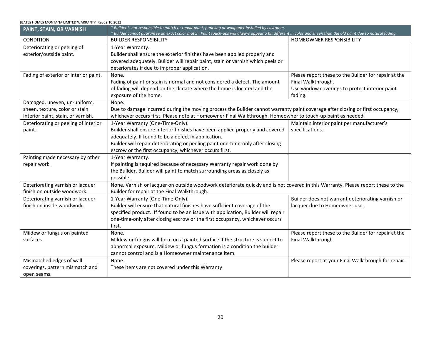<span id="page-20-0"></span>

| PAINT, STAIN, OR VARNISH                                                                             | * Builder is not responsible to match or repair paint, paneling or wallpaper installed by customer.<br>* Builder cannot guarantee an exact color match. Paint touch-ups will always appear a bit different in color and sheen than the old paint due to natural fading.                                              |                                                                                                                                         |
|------------------------------------------------------------------------------------------------------|----------------------------------------------------------------------------------------------------------------------------------------------------------------------------------------------------------------------------------------------------------------------------------------------------------------------|-----------------------------------------------------------------------------------------------------------------------------------------|
| <b>CONDITION</b>                                                                                     | <b>BUILDER RESPONSIBILITY</b>                                                                                                                                                                                                                                                                                        | HOMEOWNER RESPONSIBILITY                                                                                                                |
| Deteriorating or peeling of<br>exterior/outside paint.                                               | 1-Year Warranty.<br>Builder shall ensure the exterior finishes have been applied properly and<br>covered adequately. Builder will repair paint, stain or varnish which peels or<br>deteriorates if due to improper application.                                                                                      |                                                                                                                                         |
| Fading of exterior or interior paint.                                                                | None.<br>Fading of paint or stain is normal and not considered a defect. The amount<br>of fading will depend on the climate where the home is located and the<br>exposure of the home.                                                                                                                               | Please report these to the Builder for repair at the<br>Final Walkthrough.<br>Use window coverings to protect interior paint<br>fading. |
| Damaged, uneven, un-uniform,<br>sheen, texture, color or stain<br>Interior paint, stain, or varnish. | None.<br>Due to damage incurred during the moving process the Builder cannot warranty paint coverage after closing or first occupancy,<br>whichever occurs first. Please note at Homeowner Final Walkthrough. Homeowner to touch-up paint as needed.                                                                 |                                                                                                                                         |
| Deteriorating or peeling of interior<br>paint.                                                       | 1-Year Warranty (One-Time-Only).<br>Builder shall ensure interior finishes have been applied properly and covered<br>adequately. If found to be a defect in application.<br>Builder will repair deteriorating or peeling paint one-time-only after closing<br>escrow or the first occupancy, whichever occurs first. | Maintain interior paint per manufacturer's<br>specifications.                                                                           |
| Painting made necessary by other<br>repair work.                                                     | 1-Year Warranty.<br>If painting is required because of necessary Warranty repair work done by<br>the Builder, Builder will paint to match surrounding areas as closely as<br>possible.                                                                                                                               |                                                                                                                                         |
| Deteriorating varnish or lacquer<br>finish on outside woodwork.                                      | None. Varnish or lacquer on outside woodwork deteriorate quickly and is not covered in this Warranty. Please report these to the<br>Builder for repair at the Final Walkthrough.                                                                                                                                     |                                                                                                                                         |
| Deteriorating varnish or lacquer<br>finish on inside woodwork.                                       | 1-Year Warranty (One-Time-Only).<br>Builder will ensure that natural finishes have sufficient coverage of the<br>specified product. If found to be an issue with application, Builder will repair<br>one-time-only after closing escrow or the first occupancy, whichever occurs<br>first.                           | Builder does not warrant deteriorating varnish or<br>lacquer due to Homeowner use.                                                      |
| Mildew or fungus on painted<br>surfaces.                                                             | None.<br>Mildew or fungus will form on a painted surface if the structure is subject to<br>abnormal exposure. Mildew or fungus formation is a condition the builder<br>cannot control and is a Homeowner maintenance item.                                                                                           | Please report these to the Builder for repair at the<br>Final Walkthrough.                                                              |
| Mismatched edges of wall<br>coverings, pattern mismatch and<br>open seams.                           | None.<br>These items are not covered under this Warranty                                                                                                                                                                                                                                                             | Please report at your Final Walkthrough for repair.                                                                                     |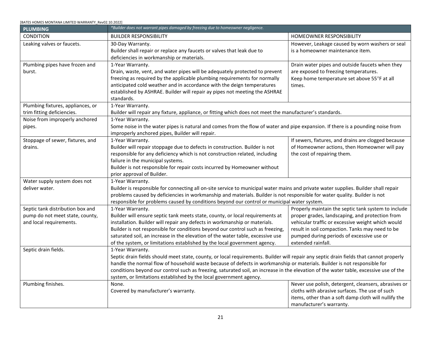#### <span id="page-21-0"></span>[BATES HOMES MONTANA LIMITED WARRANTY\_Rev02.10.2022] **PLUMBING** *\*Builder does not warrant pipes damaged by freezing due to homeowner negligence.*  CONDITION **EXAMPLE A RESPONSIBILITY EXAMPLE A RESPONSIBILITY HOMEOWNER RESPONSIBILITY** Leaking valves or faucets. 1 30-Day Warranty. Builder shall repair or replace any faucets or valves that leak due to deficiencies in workmanship or materials. However, Leakage caused by worn washers or seal is a homeowner maintenance item. Plumbing pipes have frozen and burst. 1-Year Warranty. Drain, waste, vent, and water pipes will be adequately protected to prevent freezing as required by the applicable plumbing requirements for normally anticipated cold weather and in accordance with the deign temperatures established by ASHRAE. Builder will repair ay pipes not meeting the ASHRAE standards. Drain water pipes and outside faucets when they are exposed to freezing temperatures. Keep home temperature set above 55°F at all times. Plumbing fixtures, appliances, or trim fitting deficiencies. 1-Year Warranty. Builder will repair any fixture, appliance, or fitting which does not meet the manufacturer's standards. Noise from improperly anchored pipes. 1-Year Warranty. Some noise in the water pipes is natural and comes from the flow of water and pipe expansion. If there is a pounding noise from improperly anchored pipes, Builder will repair. Stoppage of sewer, fixtures, and drains. 1-Year Warranty. Builder will repair stoppage due to defects in construction. Builder is not responsible for any deficiency which is not construction related, including failure in the municipal systems. Builder is not responsible for repair costs incurred by Homeowner without prior approval of Builder. If sewers, fixtures, and drains are clogged because of Homeowner actions, then Homeowner will pay the cost of repairing them. Water supply system does not deliver water. 1-Year Warranty. Builder is responsible for connecting all on-site service to municipal water mains and private water supplies. Builder shall repair problems caused by deficiencies in workmanship and materials. Builder is not responsible for water quality. Builder is not responsible for problems caused by conditions beyond our control or municipal water system. Septic tank distribution box and pump do not meet state, county, and local requirements. 1-Year Warranty. Builder will ensure septic tank meets state, county, or local requirements at installation. Builder will repair any defects in workmanship or materials. Builder is not responsible for conditions beyond our control such as freezing, saturated soil, an increase in the elevation of the water table, excessive use of the system, or limitations established by the local government agency. Properly maintain the septic tank system to include proper grades, landscaping, and protection from vehicular traffic or excessive weight which would result in soil compaction. Tanks may need to be pumped during periods of excessive use or extended rainfall. Septic drain fields. 1-Year Warranty. Septic drain fields should meet state, county, or local requirements. Builder will repair any septic drain fields that cannot properly handle the normal flow of household waste because of defects in workmanship or materials. Builder is not responsible for conditions beyond our control such as freezing, saturated soil, an increase in the elevation of the water table, excessive use of the system, or limitations established by the local government agency. Plumbing finishes. None. Covered by manufacturer's warranty. Never use polish, detergent, cleansers, abrasives or cloths with abrasive surfaces. The use of such items, other than a soft damp cloth will nullify the manufacturer's warranty.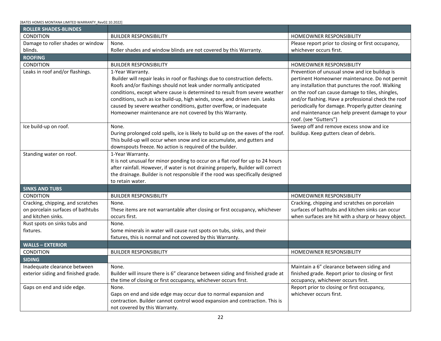<span id="page-22-4"></span><span id="page-22-3"></span><span id="page-22-2"></span><span id="page-22-1"></span><span id="page-22-0"></span>

| <b>ROLLER SHADES-BLINDES</b>                                           |                                                                                                                                |                                                                                                      |
|------------------------------------------------------------------------|--------------------------------------------------------------------------------------------------------------------------------|------------------------------------------------------------------------------------------------------|
| CONDITION                                                              | <b>BUILDER RESPONSIBILITY</b>                                                                                                  | HOMEOWNER RESPONSIBILITY                                                                             |
| Damage to roller shades or window                                      | None.                                                                                                                          | Please report prior to closing or first occupancy,                                                   |
| blinds.                                                                | Roller shades and window blinds are not covered by this Warranty.                                                              | whichever occurs first.                                                                              |
| <b>ROOFING</b>                                                         |                                                                                                                                |                                                                                                      |
| <b>CONDITION</b>                                                       | <b>BUILDER RESPONSIBILITY</b>                                                                                                  | HOMEOWNER RESPONSIBILITY                                                                             |
| Leaks in roof and/or flashings.                                        | 1-Year Warranty.                                                                                                               | Prevention of unusual snow and ice buildup is                                                        |
|                                                                        | Builder will repair leaks in roof or flashings due to construction defects.                                                    | pertinent Homeowner maintenance. Do not permit                                                       |
|                                                                        | Roofs and/or flashings should not leak under normally anticipated                                                              | any installation that punctures the roof. Walking                                                    |
|                                                                        | conditions, except where cause is determined to result from severe weather                                                     | on the roof can cause damage to tiles, shingles,                                                     |
|                                                                        | conditions, such as ice build-up, high winds, snow, and driven rain. Leaks                                                     | and/or flashing. Have a professional check the roof                                                  |
|                                                                        | caused by severe weather conditions, gutter overflow, or inadequate<br>Homeowner maintenance are not covered by this Warranty. | periodically for damage. Properly gutter cleaning<br>and maintenance can help prevent damage to your |
|                                                                        |                                                                                                                                | roof. (see "Gutters")                                                                                |
| Ice build-up on roof.                                                  | None.                                                                                                                          | Sweep off and remove excess snow and ice                                                             |
|                                                                        | During prolonged cold spells, ice is likely to build up on the eaves of the roof.                                              | buildup. Keep gutters clean of debris.                                                               |
|                                                                        | This build-up will occur when snow and ice accumulate, and gutters and                                                         |                                                                                                      |
|                                                                        | downspouts freeze. No action is required of the builder.                                                                       |                                                                                                      |
| Standing water on roof.                                                | 1-Year Warranty.                                                                                                               |                                                                                                      |
|                                                                        | It is not unusual for minor ponding to occur on a flat roof for up to 24 hours                                                 |                                                                                                      |
|                                                                        | after rainfall. However, if water is not draining properly, Builder will correct                                               |                                                                                                      |
|                                                                        | the drainage. Builder is not responsible if the rood was specifically designed                                                 |                                                                                                      |
|                                                                        | to retain water.                                                                                                               |                                                                                                      |
| <b>SINKS AND TUBS</b>                                                  |                                                                                                                                |                                                                                                      |
| <b>CONDITION</b>                                                       | <b>BUILDER RESPONSIBILITY</b>                                                                                                  | HOMEOWNER RESPONSIBILITY                                                                             |
| Cracking, chipping, and scratches<br>on porcelain surfaces of bathtubs | None.                                                                                                                          | Cracking, chipping and scratches on porcelain<br>surfaces of bathtubs and kitchen sinks can occur    |
| and kitchen sinks.                                                     | These items are not warrantable after closing or first occupancy, whichever<br>occurs first.                                   | when surfaces are hit with a sharp or heavy object.                                                  |
| Rust spots on sinks tubs and                                           | None.                                                                                                                          |                                                                                                      |
| fixtures.                                                              | Some minerals in water will cause rust spots on tubs, sinks, and their                                                         |                                                                                                      |
|                                                                        | fixtures, this is normal and not covered by this Warranty.                                                                     |                                                                                                      |
| <b>WALLS - EXTERIOR</b>                                                |                                                                                                                                |                                                                                                      |
| CONDITION                                                              | <b>BUILDER RESPONSIBILITY</b>                                                                                                  | HOMEOWNER RESPONSIBILITY                                                                             |
| <b>SIDING</b>                                                          |                                                                                                                                |                                                                                                      |
| Inadequate clearance between                                           | None.                                                                                                                          | Maintain a 6" clearance between siding and                                                           |
| exterior siding and finished grade.                                    | Builder will insure there is 6" clearance between siding and finished grade at                                                 | finished grade. Report prior to closing or first                                                     |
|                                                                        | the time of closing or first occupancy, whichever occurs first.                                                                | occupancy, whichever occurs first.                                                                   |
| Gaps on end and side edge.                                             | None.                                                                                                                          | Report prior to closing or first occupancy,                                                          |
|                                                                        | Gaps on end and side edge may occur due to normal expansion and                                                                | whichever occurs first.                                                                              |
|                                                                        | contraction. Builder cannot control wood expansion and contraction. This is                                                    |                                                                                                      |
|                                                                        | not covered by this Warranty.                                                                                                  |                                                                                                      |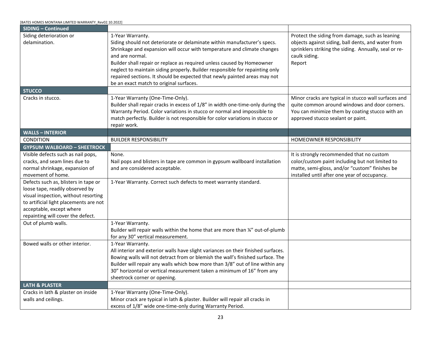<span id="page-23-3"></span><span id="page-23-2"></span><span id="page-23-1"></span><span id="page-23-0"></span>

| [BATES HOMES MONTANA LIMITED WARRANTY Rev02.10.2022]                                                                                                                                                                       |                                                                                                                                                                                                                                                                                                                                                                                                                                                                              |                                                                                                                                                                                                |
|----------------------------------------------------------------------------------------------------------------------------------------------------------------------------------------------------------------------------|------------------------------------------------------------------------------------------------------------------------------------------------------------------------------------------------------------------------------------------------------------------------------------------------------------------------------------------------------------------------------------------------------------------------------------------------------------------------------|------------------------------------------------------------------------------------------------------------------------------------------------------------------------------------------------|
| <b>SIDING - Continued</b>                                                                                                                                                                                                  |                                                                                                                                                                                                                                                                                                                                                                                                                                                                              |                                                                                                                                                                                                |
| Siding deterioration or<br>delamination.                                                                                                                                                                                   | 1-Year Warranty.<br>Siding should not deteriorate or delaminate within manufacturer's specs.<br>Shrinkage and expansion will occur with temperature and climate changes<br>and are normal.<br>Builder shall repair or replace as required unless caused by Homeowner<br>neglect to maintain siding properly. Builder responsible for repainting only<br>repaired sections. It should be expected that newly painted areas may not<br>be an exact match to original surfaces. | Protect the siding from damage, such as leaning<br>objects against siding, ball dents, and water from<br>sprinklers striking the siding. Annually, seal or re-<br>caulk siding.<br>Report      |
| <b>STUCCO</b>                                                                                                                                                                                                              |                                                                                                                                                                                                                                                                                                                                                                                                                                                                              |                                                                                                                                                                                                |
| Cracks in stucco.                                                                                                                                                                                                          | 1-Year Warranty (One-Time-Only).<br>Builder shall repair cracks in excess of 1/8" in width one-time-only during the<br>Warranty Period. Color variations in stucco or normal and impossible to<br>match perfectly. Builder is not responsible for color variations in stucco or<br>repair work.                                                                                                                                                                              | Minor cracks are typical in stucco wall surfaces and<br>quite common around windows and door corners.<br>You can minimize them by coating stucco with an<br>approved stucco sealant or paint.  |
| <b>WALLS - INTERIOR</b>                                                                                                                                                                                                    |                                                                                                                                                                                                                                                                                                                                                                                                                                                                              |                                                                                                                                                                                                |
| CONDITION                                                                                                                                                                                                                  | <b>BUILDER RESPONSIBILITY</b>                                                                                                                                                                                                                                                                                                                                                                                                                                                | HOMEOWNER RESPONSIBILITY                                                                                                                                                                       |
| <b>GYPSUM WALBOARD - SHEETROCK</b>                                                                                                                                                                                         |                                                                                                                                                                                                                                                                                                                                                                                                                                                                              |                                                                                                                                                                                                |
| Visible defects such as nail pops,<br>cracks, and seam lines due to<br>normal shrinkage, expansion of<br>movement of home.                                                                                                 | None.<br>Nail pops and blisters in tape are common in gypsum wallboard installation<br>and are considered acceptable.                                                                                                                                                                                                                                                                                                                                                        | It is strongly recommended that no custom<br>color/custom paint including but not limited to<br>matte, semi-gloss, and/or "custom" finishes be<br>installed until after one year of occupancy. |
| Defects such as, blisters in tape or<br>loose tape, readily observed by<br>visual inspection, without resorting<br>to artificial light placements are not<br>acceptable, except where<br>repainting will cover the defect. | 1-Year Warranty. Correct such defects to meet warranty standard.                                                                                                                                                                                                                                                                                                                                                                                                             |                                                                                                                                                                                                |
| Out of plumb walls.                                                                                                                                                                                                        | 1-Year Warranty.<br>Builder will repair walls within the home that are more than 1/4" out-of-plumb<br>for any 30" vertical measurement.                                                                                                                                                                                                                                                                                                                                      |                                                                                                                                                                                                |
| Bowed walls or other interior.                                                                                                                                                                                             | 1-Year Warranty.<br>All interior and exterior walls have slight variances on their finished surfaces.<br>Bowing walls will not detract from or blemish the wall's finished surface. The<br>Builder will repair any walls which bow more than 3/8" out of line within any<br>30" horizontal or vertical measurement taken a minimum of 16" from any<br>sheetrock corner or opening.                                                                                           |                                                                                                                                                                                                |
| <b>LATH &amp; PLASTER</b>                                                                                                                                                                                                  |                                                                                                                                                                                                                                                                                                                                                                                                                                                                              |                                                                                                                                                                                                |
| Cracks in lath & plaster on inside<br>walls and ceilings.                                                                                                                                                                  | 1-Year Warranty (One-Time-Only).<br>Minor crack are typical in lath & plaster. Builder will repair all cracks in<br>excess of 1/8" wide one-time-only during Warranty Period.                                                                                                                                                                                                                                                                                                |                                                                                                                                                                                                |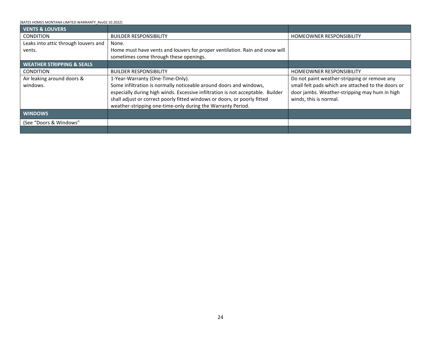<span id="page-24-2"></span><span id="page-24-1"></span><span id="page-24-0"></span>

| <b>VENTS &amp; LOUVERS</b>           |                                                                                 |                                                    |
|--------------------------------------|---------------------------------------------------------------------------------|----------------------------------------------------|
| <b>CONDITION</b>                     | <b>BUILDER RESPONSIBILITY</b>                                                   | <b>HOMEOWNER RESPONSIBILITY</b>                    |
| Leaks into attic through louvers and | None.                                                                           |                                                    |
| vents.                               | Home must have vents and louvers for proper ventilation. Rain and snow will     |                                                    |
|                                      | sometimes come through these openings.                                          |                                                    |
| <b>WEATHER STRIPPING &amp; SEALS</b> |                                                                                 |                                                    |
| <b>CONDITION</b>                     | <b>BUILDER RESPONSIBILITY</b>                                                   | <b>HOMEOWNER RESPONSIBILITY</b>                    |
| Air leaking around doors &           | 1-Year-Warranty (One-Time-Only).                                                | Do not paint weather-stripping or remove any       |
| windows.                             | Some infiltration is normally noticeable around doors and windows,              | small felt pads which are attached to the doors or |
|                                      | especially during high winds. Excessive infiltration is not acceptable. Builder | door jambs. Weather-stripping may hum in high      |
|                                      | shall adjust or correct poorly fitted windows or doors, or poorly fitted        | winds, this is normal.                             |
|                                      | weather-stripping one-time-only during the Warranty Period.                     |                                                    |
| <b>WINDOWS</b>                       |                                                                                 |                                                    |
| (See "Doors & Windows"               |                                                                                 |                                                    |
|                                      |                                                                                 |                                                    |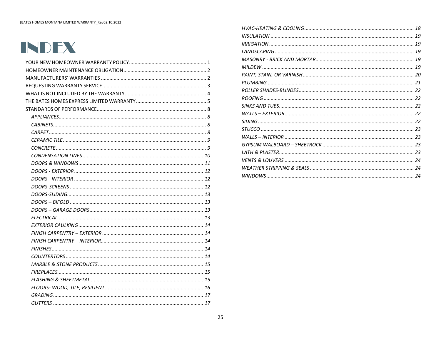# INDEX